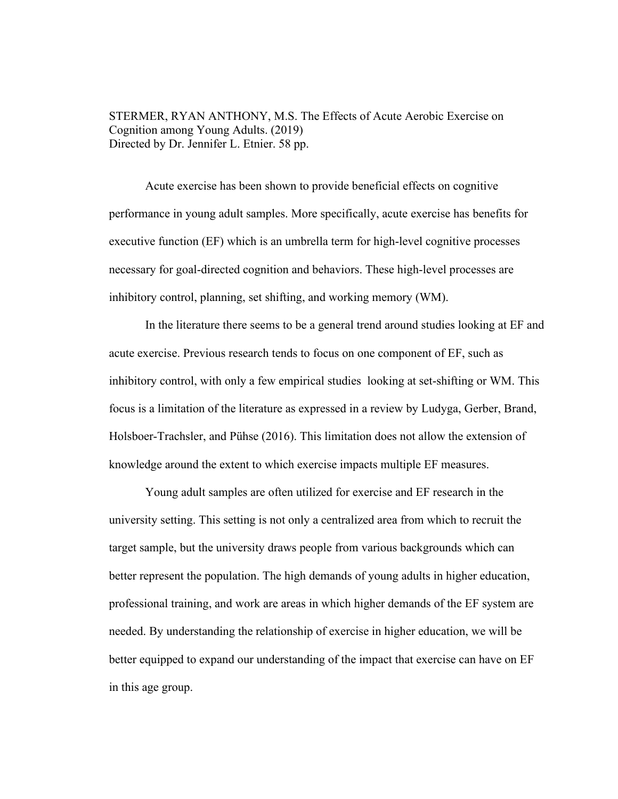STERMER, RYAN ANTHONY, M.S. The Effects of Acute Aerobic Exercise on Cognition among Young Adults. (2019) Directed by Dr. Jennifer L. Etnier. 58 pp.

Acute exercise has been shown to provide beneficial effects on cognitive performance in young adult samples. More specifically, acute exercise has benefits for executive function (EF) which is an umbrella term for high-level cognitive processes necessary for goal-directed cognition and behaviors. These high-level processes are inhibitory control, planning, set shifting, and working memory (WM).

In the literature there seems to be a general trend around studies looking at EF and acute exercise. Previous research tends to focus on one component of EF, such as inhibitory control, with only a few empirical studies looking at set-shifting or WM. This focus is a limitation of the literature as expressed in a review by Ludyga, Gerber, Brand, Holsboer-Trachsler, and Pühse (2016). This limitation does not allow the extension of knowledge around the extent to which exercise impacts multiple EF measures.

Young adult samples are often utilized for exercise and EF research in the university setting. This setting is not only a centralized area from which to recruit the target sample, but the university draws people from various backgrounds which can better represent the population. The high demands of young adults in higher education, professional training, and work are areas in which higher demands of the EF system are needed. By understanding the relationship of exercise in higher education, we will be better equipped to expand our understanding of the impact that exercise can have on EF in this age group.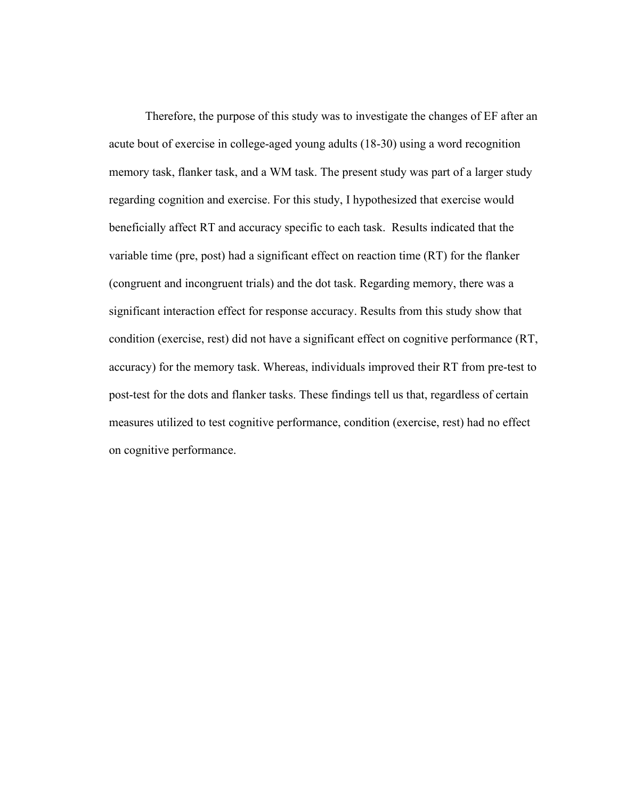Therefore, the purpose of this study was to investigate the changes of EF after an acute bout of exercise in college-aged young adults (18-30) using a word recognition memory task, flanker task, and a WM task. The present study was part of a larger study regarding cognition and exercise. For this study, I hypothesized that exercise would beneficially affect RT and accuracy specific to each task. Results indicated that the variable time (pre, post) had a significant effect on reaction time (RT) for the flanker (congruent and incongruent trials) and the dot task. Regarding memory, there was a significant interaction effect for response accuracy. Results from this study show that condition (exercise, rest) did not have a significant effect on cognitive performance (RT, accuracy) for the memory task. Whereas, individuals improved their RT from pre-test to post-test for the dots and flanker tasks. These findings tell us that, regardless of certain measures utilized to test cognitive performance, condition (exercise, rest) had no effect on cognitive performance.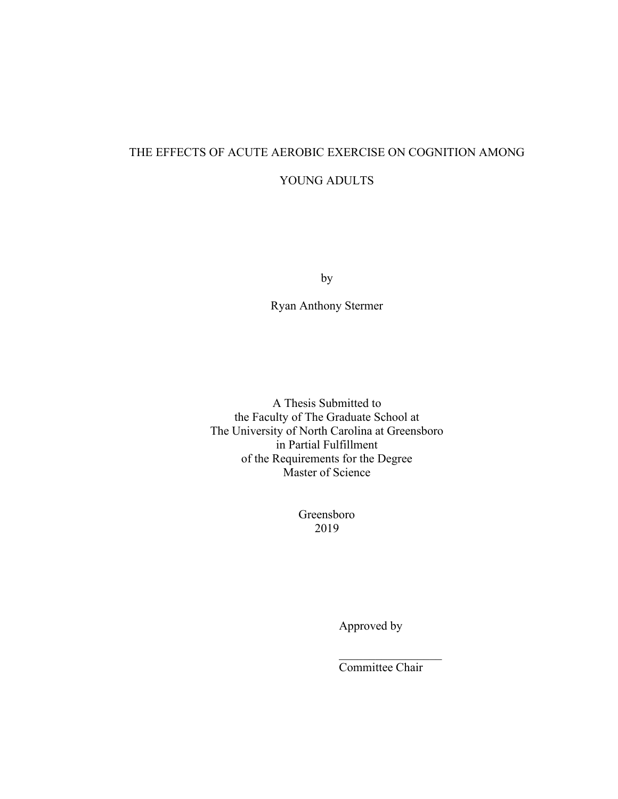# THE EFFECTS OF ACUTE AEROBIC EXERCISE ON COGNITION AMONG YOUNG ADULTS

by

Ryan Anthony Stermer

A Thesis Submitted to the Faculty of The Graduate School at The University of North Carolina at Greensboro in Partial Fulfillment of the Requirements for the Degree Master of Science

> Greensboro 2019

> > Approved by

Committee Chair

 $\frac{1}{2}$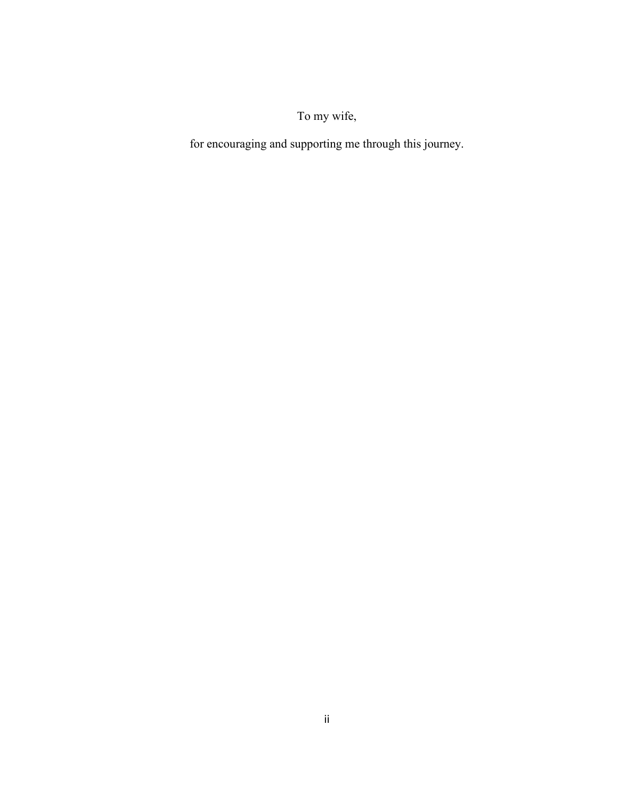# To my wife,

for encouraging and supporting me through this journey.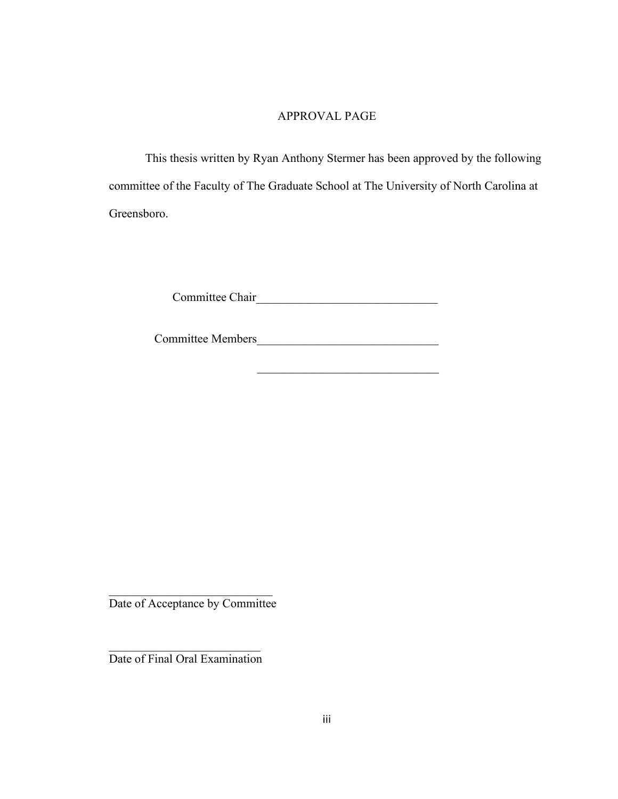# APPROVAL PAGE

This thesis written by Ryan Anthony Stermer has been approved by the following committee of the Faculty of The Graduate School at The University of North Carolina at Greensboro.

Committee Chair\_\_\_\_\_\_\_\_\_\_\_\_\_\_\_\_\_\_\_\_\_\_\_\_\_\_\_\_\_\_

Committee Members\_\_\_\_\_\_\_\_\_\_\_\_\_\_\_\_\_\_\_\_\_\_\_\_\_\_\_\_\_\_

 $\mathcal{L}_\text{max}$  , which is a set of the set of the set of the set of the set of the set of the set of the set of the set of the set of the set of the set of the set of the set of the set of the set of the set of the set of

\_\_\_\_\_\_\_\_\_\_\_\_\_\_\_\_\_\_\_\_\_\_\_\_\_\_\_ Date of Acceptance by Committee

\_\_\_\_\_\_\_\_\_\_\_\_\_\_\_\_\_\_\_\_\_\_\_\_\_ Date of Final Oral Examination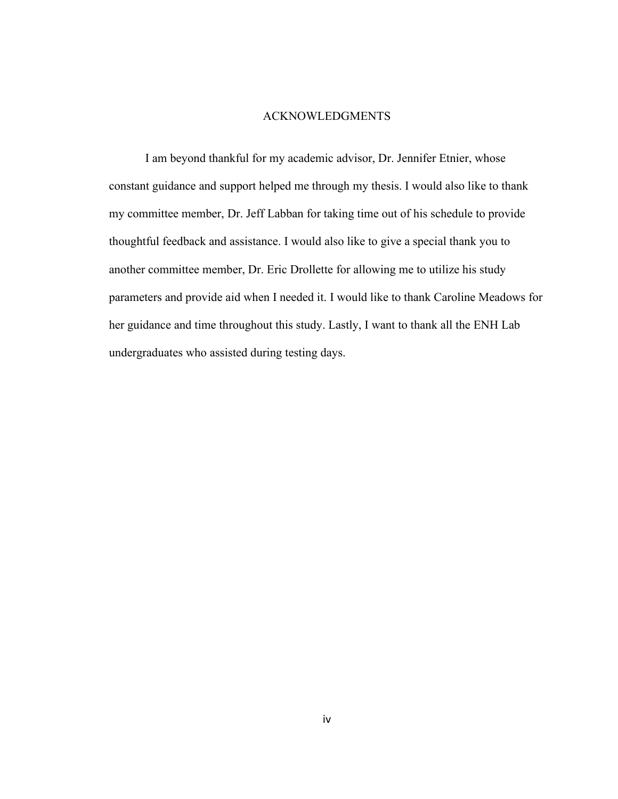# ACKNOWLEDGMENTS

I am beyond thankful for my academic advisor, Dr. Jennifer Etnier, whose constant guidance and support helped me through my thesis. I would also like to thank my committee member, Dr. Jeff Labban for taking time out of his schedule to provide thoughtful feedback and assistance. I would also like to give a special thank you to another committee member, Dr. Eric Drollette for allowing me to utilize his study parameters and provide aid when I needed it. I would like to thank Caroline Meadows for her guidance and time throughout this study. Lastly, I want to thank all the ENH Lab undergraduates who assisted during testing days.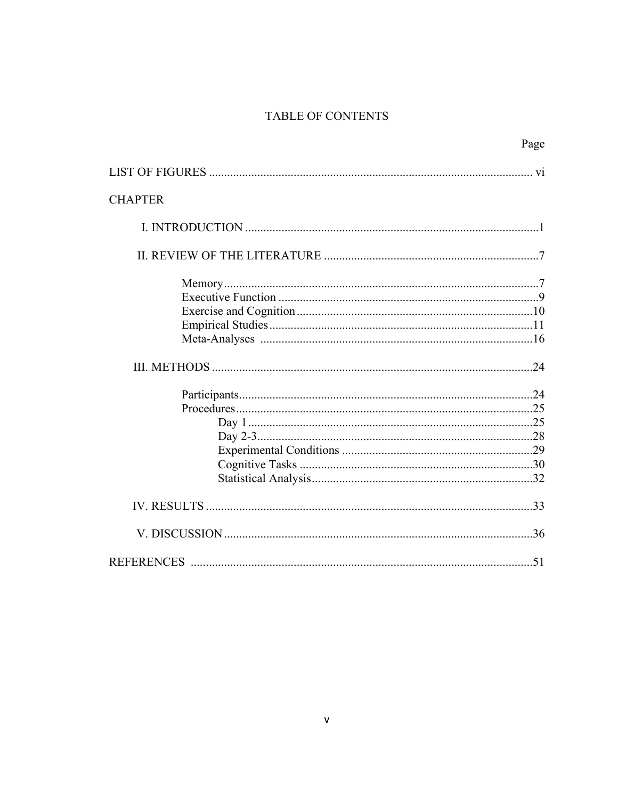# TABLE OF CONTENTS

|                | Page |
|----------------|------|
|                |      |
| <b>CHAPTER</b> |      |
|                |      |
|                |      |
|                |      |
|                |      |
|                |      |
|                |      |
|                |      |
|                |      |
|                |      |
|                |      |
|                |      |
|                |      |
|                |      |
|                |      |
|                |      |
|                |      |
|                |      |
|                |      |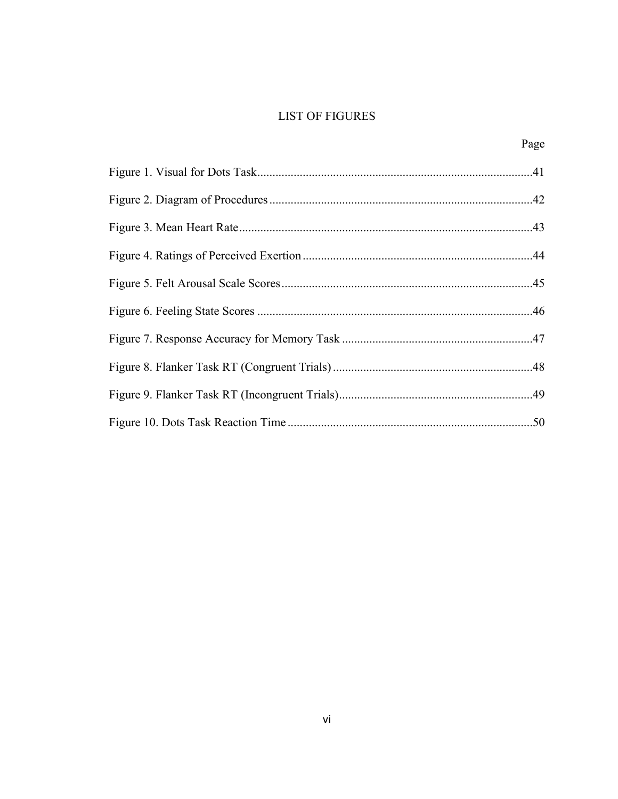# **LIST OF FIGURES**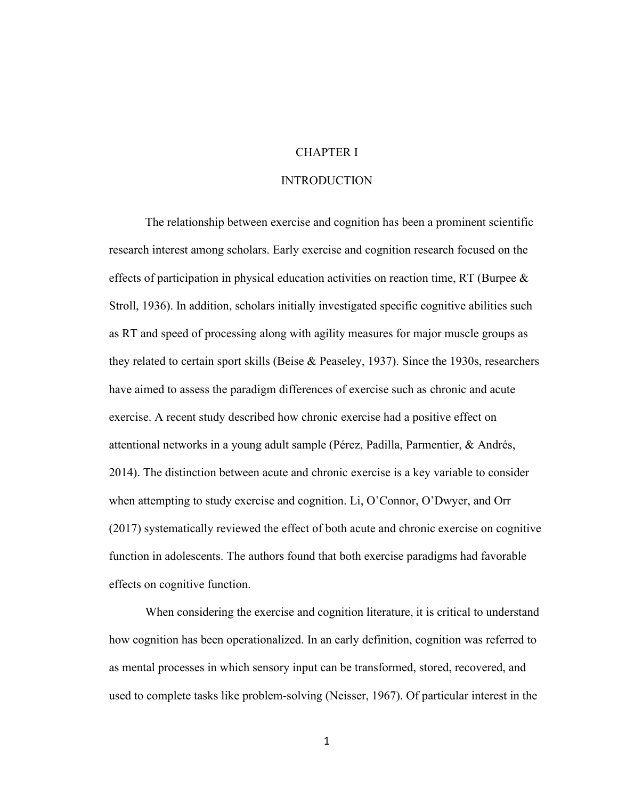# CHAPTER I

# INTRODUCTION

The relationship between exercise and cognition has been a prominent scientific research interest among scholars. Early exercise and cognition research focused on the effects of participation in physical education activities on reaction time, RT (Burpee & Stroll, 1936). In addition, scholars initially investigated specific cognitive abilities such as RT and speed of processing along with agility measures for major muscle groups as they related to certain sport skills (Beise & Peaseley, 1937). Since the 1930s, researchers have aimed to assess the paradigm differences of exercise such as chronic and acute exercise. A recent study described how chronic exercise had a positive effect on attentional networks in a young adult sample (Pérez, Padilla, Parmentier, & Andrés, 2014). The distinction between acute and chronic exercise is a key variable to consider when attempting to study exercise and cognition. Li, O'Connor, O'Dwyer, and Orr (2017) systematically reviewed the effect of both acute and chronic exercise on cognitive function in adolescents. The authors found that both exercise paradigms had favorable effects on cognitive function.

When considering the exercise and cognition literature, it is critical to understand how cognition has been operationalized. In an early definition, cognition was referred to as mental processes in which sensory input can be transformed, stored, recovered, and used to complete tasks like problem-solving (Neisser, 1967). Of particular interest in the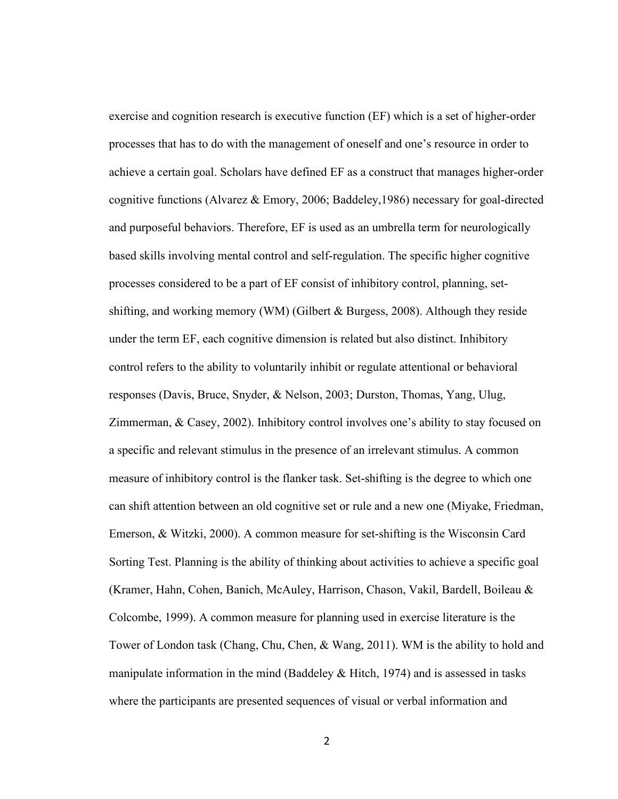exercise and cognition research is executive function (EF) which is a set of higher-order processes that has to do with the management of oneself and one's resource in order to achieve a certain goal. Scholars have defined EF as a construct that manages higher-order cognitive functions (Alvarez & Emory, 2006; Baddeley,1986) necessary for goal-directed and purposeful behaviors. Therefore, EF is used as an umbrella term for neurologically based skills involving mental control and self-regulation. The specific higher cognitive processes considered to be a part of EF consist of inhibitory control, planning, setshifting, and working memory (WM) (Gilbert & Burgess, 2008). Although they reside under the term EF, each cognitive dimension is related but also distinct. Inhibitory control refers to the ability to voluntarily inhibit or regulate attentional or behavioral responses (Davis, Bruce, Snyder, & Nelson, 2003; Durston, Thomas, Yang, Ulug, Zimmerman, & Casey, 2002). Inhibitory control involves one's ability to stay focused on a specific and relevant stimulus in the presence of an irrelevant stimulus. A common measure of inhibitory control is the flanker task. Set-shifting is the degree to which one can shift attention between an old cognitive set or rule and a new one (Miyake, Friedman, Emerson, & Witzki, 2000). A common measure for set-shifting is the Wisconsin Card Sorting Test. Planning is the ability of thinking about activities to achieve a specific goal (Kramer, Hahn, Cohen, Banich, McAuley, Harrison, Chason, Vakil, Bardell, Boileau & Colcombe, 1999). A common measure for planning used in exercise literature is the Tower of London task (Chang, Chu, Chen, & Wang, 2011). WM is the ability to hold and manipulate information in the mind (Baddeley & Hitch, 1974) and is assessed in tasks where the participants are presented sequences of visual or verbal information and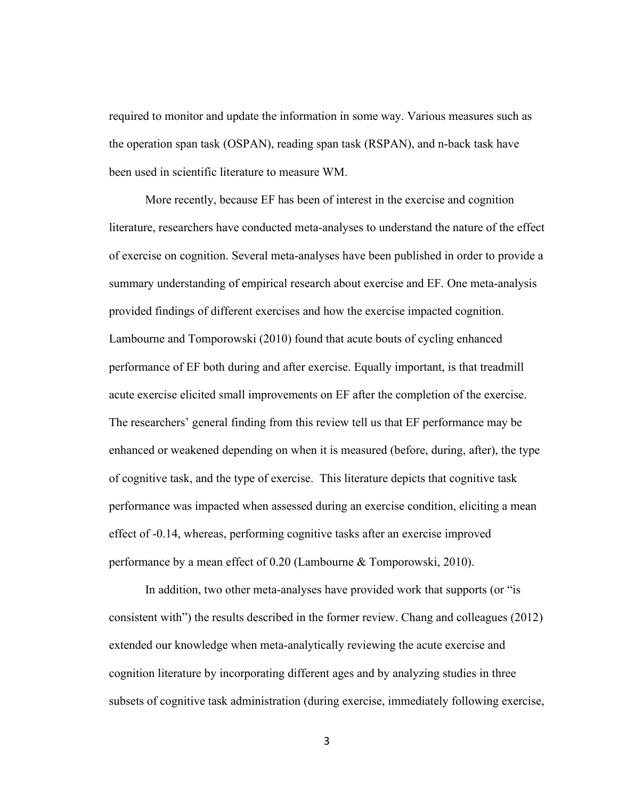required to monitor and update the information in some way. Various measures such as the operation span task (OSPAN), reading span task (RSPAN), and n-back task have been used in scientific literature to measure WM.

More recently, because EF has been of interest in the exercise and cognition literature, researchers have conducted meta-analyses to understand the nature of the effect of exercise on cognition. Several meta-analyses have been published in order to provide a summary understanding of empirical research about exercise and EF. One meta-analysis provided findings of different exercises and how the exercise impacted cognition. Lambourne and Tomporowski (2010) found that acute bouts of cycling enhanced performance of EF both during and after exercise. Equally important, is that treadmill acute exercise elicited small improvements on EF after the completion of the exercise. The researchers' general finding from this review tell us that EF performance may be enhanced or weakened depending on when it is measured (before, during, after), the type of cognitive task, and the type of exercise. This literature depicts that cognitive task performance was impacted when assessed during an exercise condition, eliciting a mean effect of -0.14, whereas, performing cognitive tasks after an exercise improved performance by a mean effect of 0.20 (Lambourne & Tomporowski, 2010).

In addition, two other meta-analyses have provided work that supports (or "is consistent with") the results described in the former review. Chang and colleagues (2012) extended our knowledge when meta-analytically reviewing the acute exercise and cognition literature by incorporating different ages and by analyzing studies in three subsets of cognitive task administration (during exercise, immediately following exercise,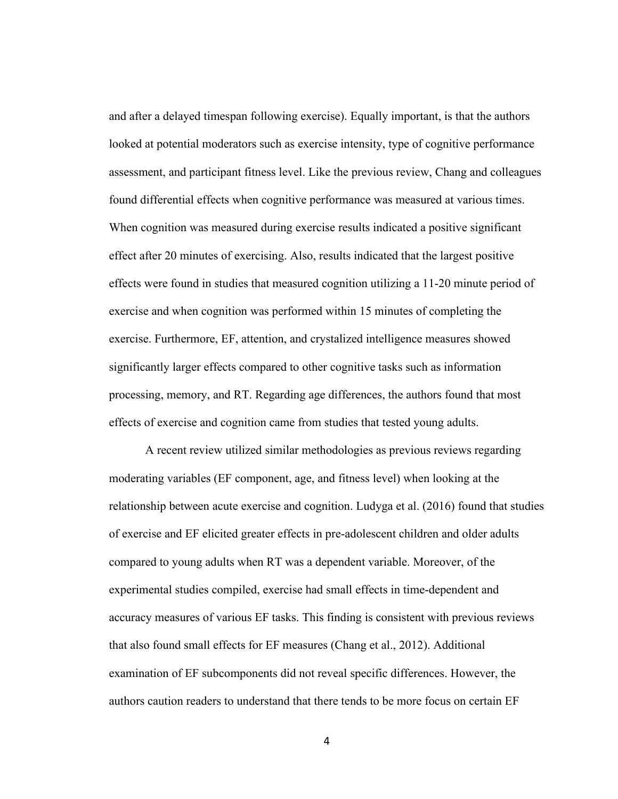and after a delayed timespan following exercise). Equally important, is that the authors looked at potential moderators such as exercise intensity, type of cognitive performance assessment, and participant fitness level. Like the previous review, Chang and colleagues found differential effects when cognitive performance was measured at various times. When cognition was measured during exercise results indicated a positive significant effect after 20 minutes of exercising. Also, results indicated that the largest positive effects were found in studies that measured cognition utilizing a 11-20 minute period of exercise and when cognition was performed within 15 minutes of completing the exercise. Furthermore, EF, attention, and crystalized intelligence measures showed significantly larger effects compared to other cognitive tasks such as information processing, memory, and RT. Regarding age differences, the authors found that most effects of exercise and cognition came from studies that tested young adults.

A recent review utilized similar methodologies as previous reviews regarding moderating variables (EF component, age, and fitness level) when looking at the relationship between acute exercise and cognition. Ludyga et al. (2016) found that studies of exercise and EF elicited greater effects in pre-adolescent children and older adults compared to young adults when RT was a dependent variable. Moreover, of the experimental studies compiled, exercise had small effects in time-dependent and accuracy measures of various EF tasks. This finding is consistent with previous reviews that also found small effects for EF measures (Chang et al., 2012). Additional examination of EF subcomponents did not reveal specific differences. However, the authors caution readers to understand that there tends to be more focus on certain EF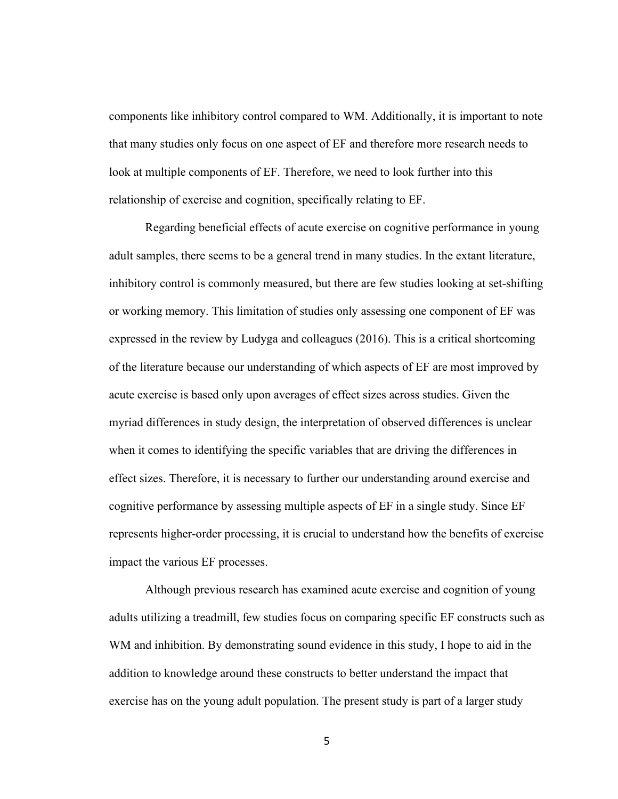components like inhibitory control compared to WM. Additionally, it is important to note that many studies only focus on one aspect of EF and therefore more research needs to look at multiple components of EF. Therefore, we need to look further into this relationship of exercise and cognition, specifically relating to EF.

Regarding beneficial effects of acute exercise on cognitive performance in young adult samples, there seems to be a general trend in many studies. In the extant literature, inhibitory control is commonly measured, but there are few studies looking at set-shifting or working memory. This limitation of studies only assessing one component of EF was expressed in the review by Ludyga and colleagues (2016). This is a critical shortcoming of the literature because our understanding of which aspects of EF are most improved by acute exercise is based only upon averages of effect sizes across studies. Given the myriad differences in study design, the interpretation of observed differences is unclear when it comes to identifying the specific variables that are driving the differences in effect sizes. Therefore, it is necessary to further our understanding around exercise and cognitive performance by assessing multiple aspects of EF in a single study. Since EF represents higher-order processing, it is crucial to understand how the benefits of exercise impact the various EF processes.

Although previous research has examined acute exercise and cognition of young adults utilizing a treadmill, few studies focus on comparing specific EF constructs such as WM and inhibition. By demonstrating sound evidence in this study, I hope to aid in the addition to knowledge around these constructs to better understand the impact that exercise has on the young adult population. The present study is part of a larger study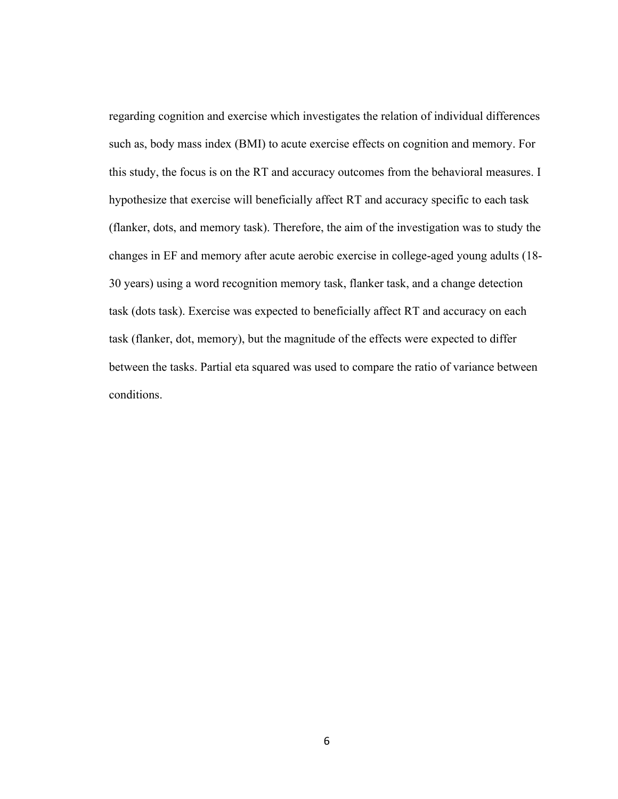regarding cognition and exercise which investigates the relation of individual differences such as, body mass index (BMI) to acute exercise effects on cognition and memory. For this study, the focus is on the RT and accuracy outcomes from the behavioral measures. I hypothesize that exercise will beneficially affect RT and accuracy specific to each task (flanker, dots, and memory task). Therefore, the aim of the investigation was to study the changes in EF and memory after acute aerobic exercise in college-aged young adults (18- 30 years) using a word recognition memory task, flanker task, and a change detection task (dots task). Exercise was expected to beneficially affect RT and accuracy on each task (flanker, dot, memory), but the magnitude of the effects were expected to differ between the tasks. Partial eta squared was used to compare the ratio of variance between conditions.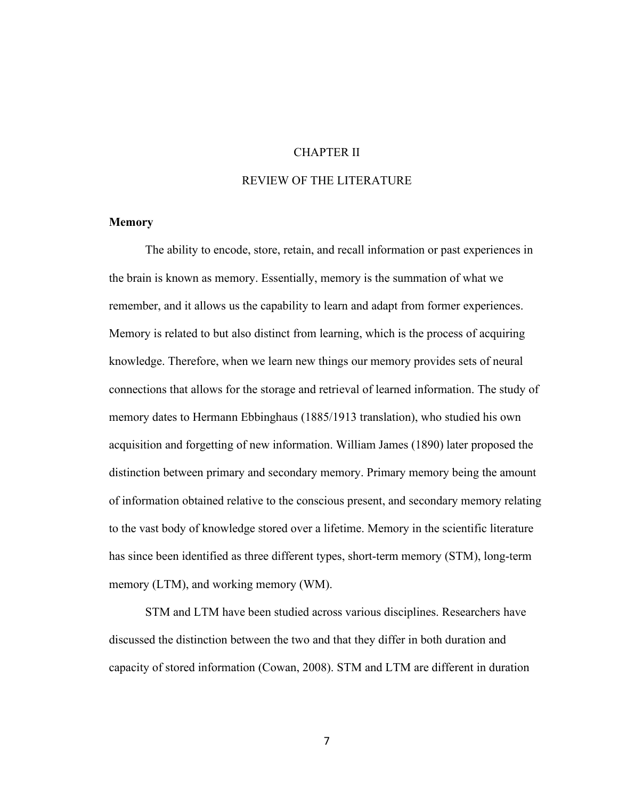# CHAPTER II

# REVIEW OF THE LITERATURE

# **Memory**

The ability to encode, store, retain, and recall information or past experiences in the brain is known as memory. Essentially, memory is the summation of what we remember, and it allows us the capability to learn and adapt from former experiences. Memory is related to but also distinct from learning, which is the process of acquiring knowledge. Therefore, when we learn new things our memory provides sets of neural connections that allows for the storage and retrieval of learned information. The study of memory dates to Hermann Ebbinghaus (1885/1913 translation), who studied his own acquisition and forgetting of new information. William James (1890) later proposed the distinction between primary and secondary memory. Primary memory being the amount of information obtained relative to the conscious present, and secondary memory relating to the vast body of knowledge stored over a lifetime. Memory in the scientific literature has since been identified as three different types, short-term memory (STM), long-term memory (LTM), and working memory (WM).

STM and LTM have been studied across various disciplines. Researchers have discussed the distinction between the two and that they differ in both duration and capacity of stored information (Cowan, 2008). STM and LTM are different in duration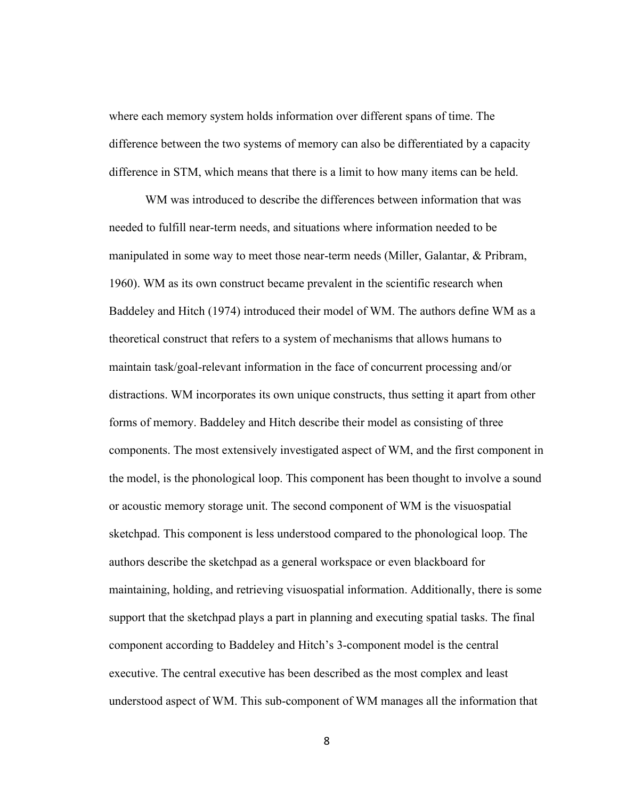where each memory system holds information over different spans of time. The difference between the two systems of memory can also be differentiated by a capacity difference in STM, which means that there is a limit to how many items can be held.

WM was introduced to describe the differences between information that was needed to fulfill near-term needs, and situations where information needed to be manipulated in some way to meet those near-term needs (Miller, Galantar, & Pribram, 1960). WM as its own construct became prevalent in the scientific research when Baddeley and Hitch (1974) introduced their model of WM. The authors define WM as a theoretical construct that refers to a system of mechanisms that allows humans to maintain task/goal-relevant information in the face of concurrent processing and/or distractions. WM incorporates its own unique constructs, thus setting it apart from other forms of memory. Baddeley and Hitch describe their model as consisting of three components. The most extensively investigated aspect of WM, and the first component in the model, is the phonological loop. This component has been thought to involve a sound or acoustic memory storage unit. The second component of WM is the visuospatial sketchpad. This component is less understood compared to the phonological loop. The authors describe the sketchpad as a general workspace or even blackboard for maintaining, holding, and retrieving visuospatial information. Additionally, there is some support that the sketchpad plays a part in planning and executing spatial tasks. The final component according to Baddeley and Hitch's 3-component model is the central executive. The central executive has been described as the most complex and least understood aspect of WM. This sub-component of WM manages all the information that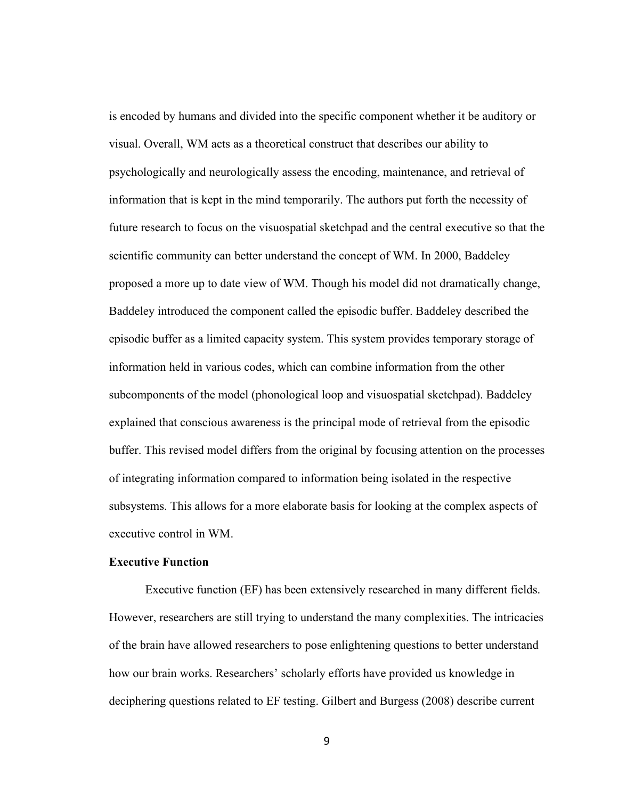is encoded by humans and divided into the specific component whether it be auditory or visual. Overall, WM acts as a theoretical construct that describes our ability to psychologically and neurologically assess the encoding, maintenance, and retrieval of information that is kept in the mind temporarily. The authors put forth the necessity of future research to focus on the visuospatial sketchpad and the central executive so that the scientific community can better understand the concept of WM. In 2000, Baddeley proposed a more up to date view of WM. Though his model did not dramatically change, Baddeley introduced the component called the episodic buffer. Baddeley described the episodic buffer as a limited capacity system. This system provides temporary storage of information held in various codes, which can combine information from the other subcomponents of the model (phonological loop and visuospatial sketchpad). Baddeley explained that conscious awareness is the principal mode of retrieval from the episodic buffer. This revised model differs from the original by focusing attention on the processes of integrating information compared to information being isolated in the respective subsystems. This allows for a more elaborate basis for looking at the complex aspects of executive control in WM.

# **Executive Function**

Executive function (EF) has been extensively researched in many different fields. However, researchers are still trying to understand the many complexities. The intricacies of the brain have allowed researchers to pose enlightening questions to better understand how our brain works. Researchers' scholarly efforts have provided us knowledge in deciphering questions related to EF testing. Gilbert and Burgess (2008) describe current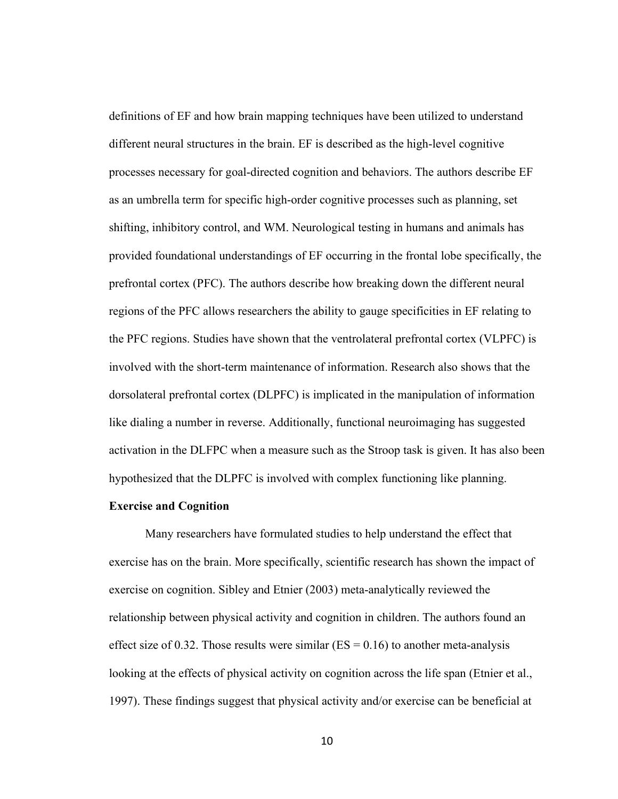definitions of EF and how brain mapping techniques have been utilized to understand different neural structures in the brain. EF is described as the high-level cognitive processes necessary for goal-directed cognition and behaviors. The authors describe EF as an umbrella term for specific high-order cognitive processes such as planning, set shifting, inhibitory control, and WM. Neurological testing in humans and animals has provided foundational understandings of EF occurring in the frontal lobe specifically, the prefrontal cortex (PFC). The authors describe how breaking down the different neural regions of the PFC allows researchers the ability to gauge specificities in EF relating to the PFC regions. Studies have shown that the ventrolateral prefrontal cortex (VLPFC) is involved with the short-term maintenance of information. Research also shows that the dorsolateral prefrontal cortex (DLPFC) is implicated in the manipulation of information like dialing a number in reverse. Additionally, functional neuroimaging has suggested activation in the DLFPC when a measure such as the Stroop task is given. It has also been hypothesized that the DLPFC is involved with complex functioning like planning.

# **Exercise and Cognition**

Many researchers have formulated studies to help understand the effect that exercise has on the brain. More specifically, scientific research has shown the impact of exercise on cognition. Sibley and Etnier (2003) meta-analytically reviewed the relationship between physical activity and cognition in children. The authors found an effect size of 0.32. Those results were similar ( $ES = 0.16$ ) to another meta-analysis looking at the effects of physical activity on cognition across the life span (Etnier et al., 1997). These findings suggest that physical activity and/or exercise can be beneficial at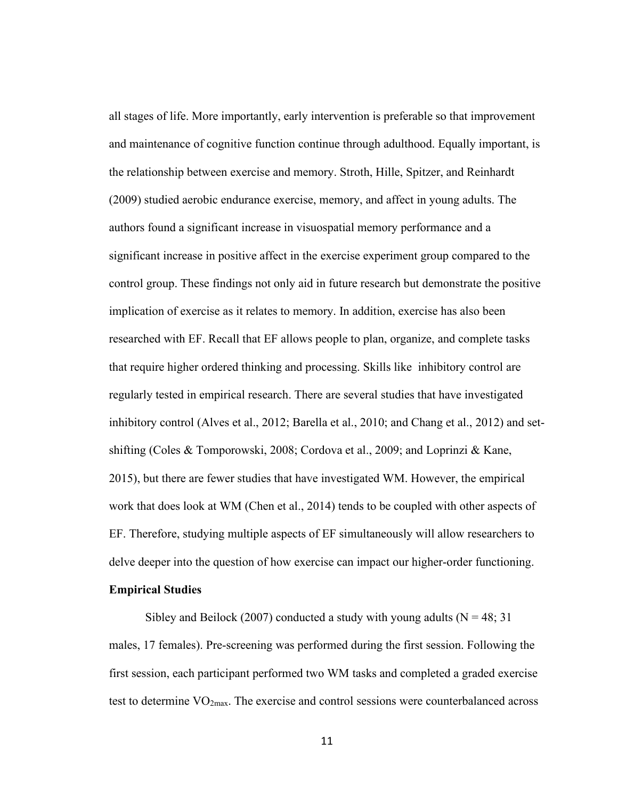all stages of life. More importantly, early intervention is preferable so that improvement and maintenance of cognitive function continue through adulthood. Equally important, is the relationship between exercise and memory. Stroth, Hille, Spitzer, and Reinhardt (2009) studied aerobic endurance exercise, memory, and affect in young adults. The authors found a significant increase in visuospatial memory performance and a significant increase in positive affect in the exercise experiment group compared to the control group. These findings not only aid in future research but demonstrate the positive implication of exercise as it relates to memory. In addition, exercise has also been researched with EF. Recall that EF allows people to plan, organize, and complete tasks that require higher ordered thinking and processing. Skills like inhibitory control are regularly tested in empirical research. There are several studies that have investigated inhibitory control (Alves et al., 2012; Barella et al., 2010; and Chang et al., 2012) and setshifting (Coles & Tomporowski, 2008; Cordova et al., 2009; and Loprinzi & Kane, 2015), but there are fewer studies that have investigated WM. However, the empirical work that does look at WM (Chen et al., 2014) tends to be coupled with other aspects of EF. Therefore, studying multiple aspects of EF simultaneously will allow researchers to delve deeper into the question of how exercise can impact our higher-order functioning.

# **Empirical Studies**

Sibley and Beilock (2007) conducted a study with young adults ( $N = 48$ ; 31 males, 17 females). Pre-screening was performed during the first session. Following the first session, each participant performed two WM tasks and completed a graded exercise test to determine  $VO<sub>2max</sub>$ . The exercise and control sessions were counterbalanced across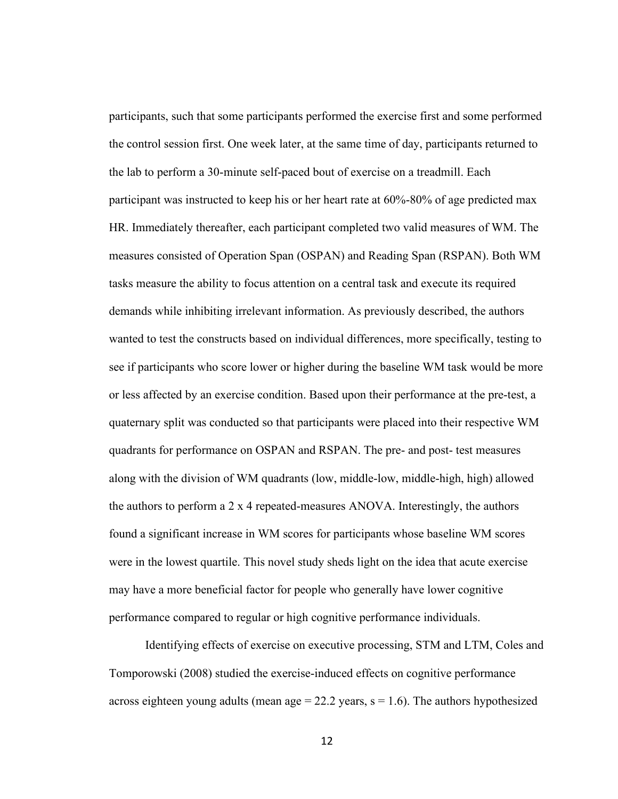participants, such that some participants performed the exercise first and some performed the control session first. One week later, at the same time of day, participants returned to the lab to perform a 30-minute self-paced bout of exercise on a treadmill. Each participant was instructed to keep his or her heart rate at 60%-80% of age predicted max HR. Immediately thereafter, each participant completed two valid measures of WM. The measures consisted of Operation Span (OSPAN) and Reading Span (RSPAN). Both WM tasks measure the ability to focus attention on a central task and execute its required demands while inhibiting irrelevant information. As previously described, the authors wanted to test the constructs based on individual differences, more specifically, testing to see if participants who score lower or higher during the baseline WM task would be more or less affected by an exercise condition. Based upon their performance at the pre-test, a quaternary split was conducted so that participants were placed into their respective WM quadrants for performance on OSPAN and RSPAN. The pre- and post- test measures along with the division of WM quadrants (low, middle-low, middle-high, high) allowed the authors to perform a  $2 \times 4$  repeated-measures ANOVA. Interestingly, the authors found a significant increase in WM scores for participants whose baseline WM scores were in the lowest quartile. This novel study sheds light on the idea that acute exercise may have a more beneficial factor for people who generally have lower cognitive performance compared to regular or high cognitive performance individuals.

Identifying effects of exercise on executive processing, STM and LTM, Coles and Tomporowski (2008) studied the exercise-induced effects on cognitive performance across eighteen young adults (mean  $age = 22.2$  years,  $s = 1.6$ ). The authors hypothesized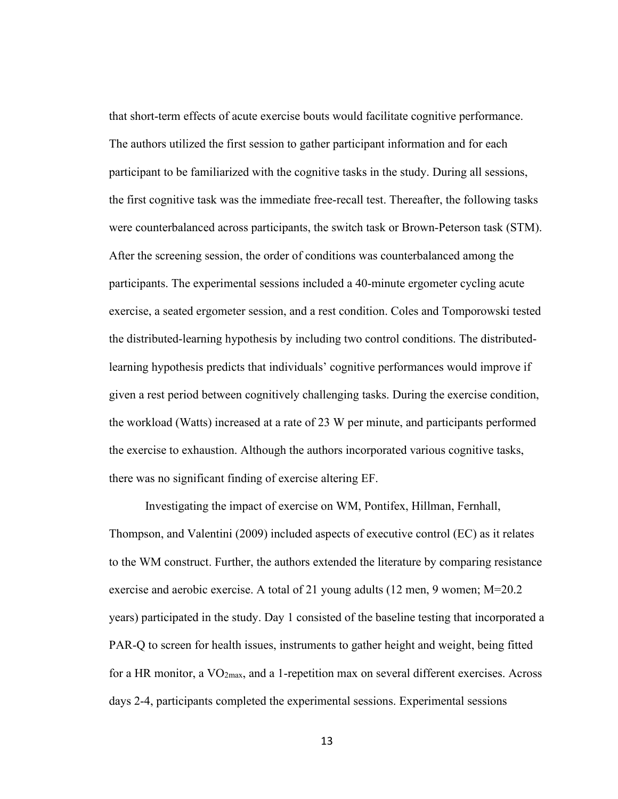that short-term effects of acute exercise bouts would facilitate cognitive performance. The authors utilized the first session to gather participant information and for each participant to be familiarized with the cognitive tasks in the study. During all sessions, the first cognitive task was the immediate free-recall test. Thereafter, the following tasks were counterbalanced across participants, the switch task or Brown-Peterson task (STM). After the screening session, the order of conditions was counterbalanced among the participants. The experimental sessions included a 40-minute ergometer cycling acute exercise, a seated ergometer session, and a rest condition. Coles and Tomporowski tested the distributed-learning hypothesis by including two control conditions. The distributedlearning hypothesis predicts that individuals' cognitive performances would improve if given a rest period between cognitively challenging tasks. During the exercise condition, the workload (Watts) increased at a rate of 23 W per minute, and participants performed the exercise to exhaustion. Although the authors incorporated various cognitive tasks, there was no significant finding of exercise altering EF.

Investigating the impact of exercise on WM, Pontifex, Hillman, Fernhall, Thompson, and Valentini (2009) included aspects of executive control (EC) as it relates to the WM construct. Further, the authors extended the literature by comparing resistance exercise and aerobic exercise. A total of 21 young adults (12 men, 9 women; M=20.2 years) participated in the study. Day 1 consisted of the baseline testing that incorporated a PAR-Q to screen for health issues, instruments to gather height and weight, being fitted for a HR monitor, a  $VO_{2max}$ , and a 1-repetition max on several different exercises. Across days 2-4, participants completed the experimental sessions. Experimental sessions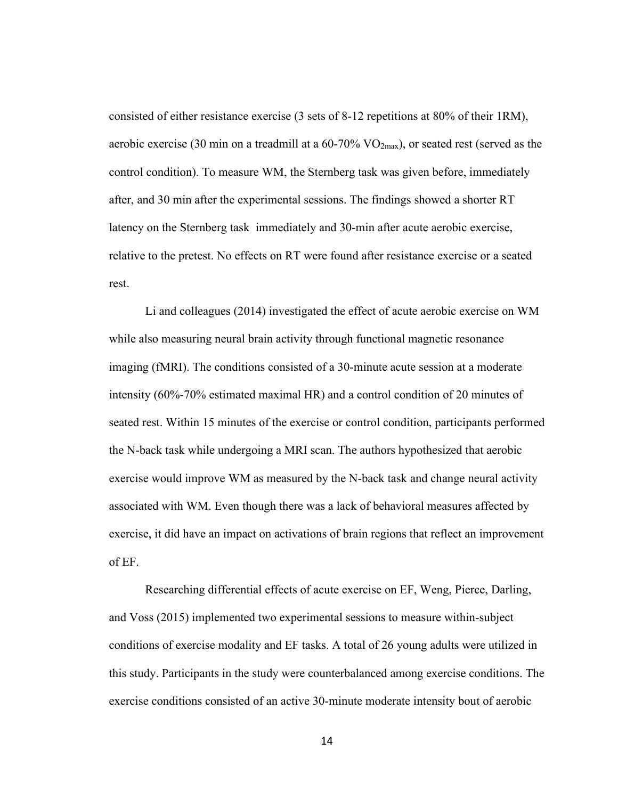consisted of either resistance exercise (3 sets of 8-12 repetitions at 80% of their 1RM), aerobic exercise (30 min on a treadmill at a  $60-70\%$  VO<sub>2max</sub>), or seated rest (served as the control condition). To measure WM, the Sternberg task was given before, immediately after, and 30 min after the experimental sessions. The findings showed a shorter RT latency on the Sternberg task immediately and 30-min after acute aerobic exercise, relative to the pretest. No effects on RT were found after resistance exercise or a seated rest.

Li and colleagues (2014) investigated the effect of acute aerobic exercise on WM while also measuring neural brain activity through functional magnetic resonance imaging (fMRI). The conditions consisted of a 30-minute acute session at a moderate intensity (60%-70% estimated maximal HR) and a control condition of 20 minutes of seated rest. Within 15 minutes of the exercise or control condition, participants performed the N-back task while undergoing a MRI scan. The authors hypothesized that aerobic exercise would improve WM as measured by the N-back task and change neural activity associated with WM. Even though there was a lack of behavioral measures affected by exercise, it did have an impact on activations of brain regions that reflect an improvement of EF.

Researching differential effects of acute exercise on EF, Weng, Pierce, Darling, and Voss (2015) implemented two experimental sessions to measure within-subject conditions of exercise modality and EF tasks. A total of 26 young adults were utilized in this study. Participants in the study were counterbalanced among exercise conditions. The exercise conditions consisted of an active 30-minute moderate intensity bout of aerobic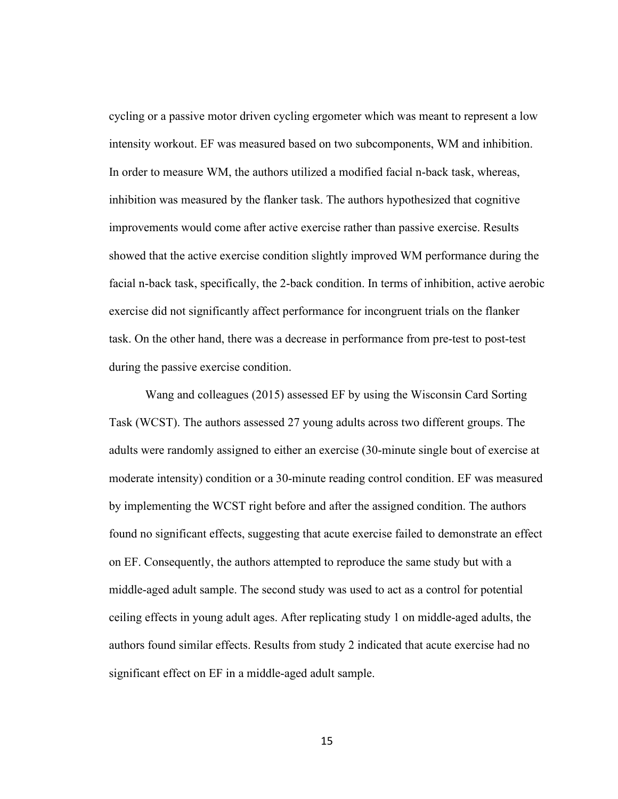cycling or a passive motor driven cycling ergometer which was meant to represent a low intensity workout. EF was measured based on two subcomponents, WM and inhibition. In order to measure WM, the authors utilized a modified facial n-back task, whereas, inhibition was measured by the flanker task. The authors hypothesized that cognitive improvements would come after active exercise rather than passive exercise. Results showed that the active exercise condition slightly improved WM performance during the facial n-back task, specifically, the 2-back condition. In terms of inhibition, active aerobic exercise did not significantly affect performance for incongruent trials on the flanker task. On the other hand, there was a decrease in performance from pre-test to post-test during the passive exercise condition.

Wang and colleagues (2015) assessed EF by using the Wisconsin Card Sorting Task (WCST). The authors assessed 27 young adults across two different groups. The adults were randomly assigned to either an exercise (30-minute single bout of exercise at moderate intensity) condition or a 30-minute reading control condition. EF was measured by implementing the WCST right before and after the assigned condition. The authors found no significant effects, suggesting that acute exercise failed to demonstrate an effect on EF. Consequently, the authors attempted to reproduce the same study but with a middle-aged adult sample. The second study was used to act as a control for potential ceiling effects in young adult ages. After replicating study 1 on middle-aged adults, the authors found similar effects. Results from study 2 indicated that acute exercise had no significant effect on EF in a middle-aged adult sample.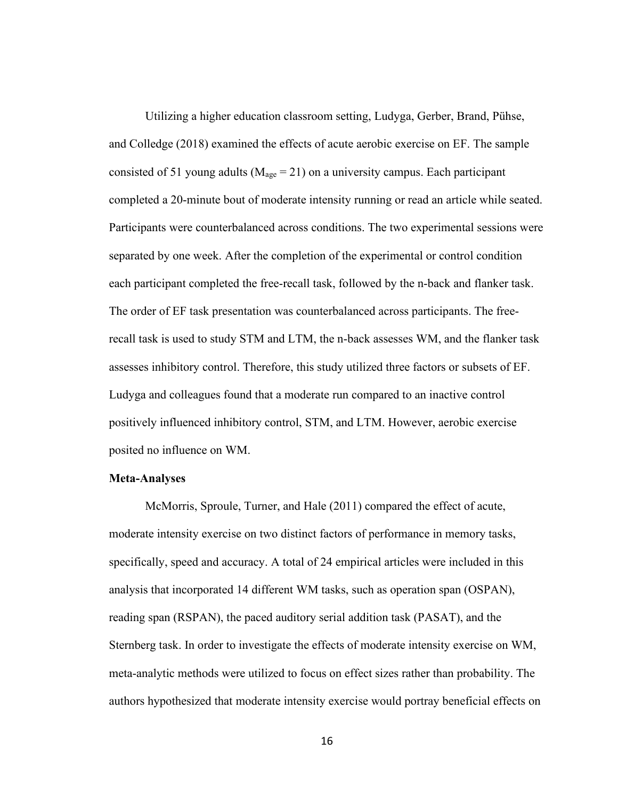Utilizing a higher education classroom setting, Ludyga, Gerber, Brand, Pühse, and Colledge (2018) examined the effects of acute aerobic exercise on EF. The sample consisted of 51 young adults ( $M_{\text{age}} = 21$ ) on a university campus. Each participant completed a 20-minute bout of moderate intensity running or read an article while seated. Participants were counterbalanced across conditions. The two experimental sessions were separated by one week. After the completion of the experimental or control condition each participant completed the free-recall task, followed by the n-back and flanker task. The order of EF task presentation was counterbalanced across participants. The freerecall task is used to study STM and LTM, the n-back assesses WM, and the flanker task assesses inhibitory control. Therefore, this study utilized three factors or subsets of EF. Ludyga and colleagues found that a moderate run compared to an inactive control positively influenced inhibitory control, STM, and LTM. However, aerobic exercise posited no influence on WM.

#### **Meta-Analyses**

McMorris, Sproule, Turner, and Hale (2011) compared the effect of acute, moderate intensity exercise on two distinct factors of performance in memory tasks, specifically, speed and accuracy. A total of 24 empirical articles were included in this analysis that incorporated 14 different WM tasks, such as operation span (OSPAN), reading span (RSPAN), the paced auditory serial addition task (PASAT), and the Sternberg task. In order to investigate the effects of moderate intensity exercise on WM, meta-analytic methods were utilized to focus on effect sizes rather than probability. The authors hypothesized that moderate intensity exercise would portray beneficial effects on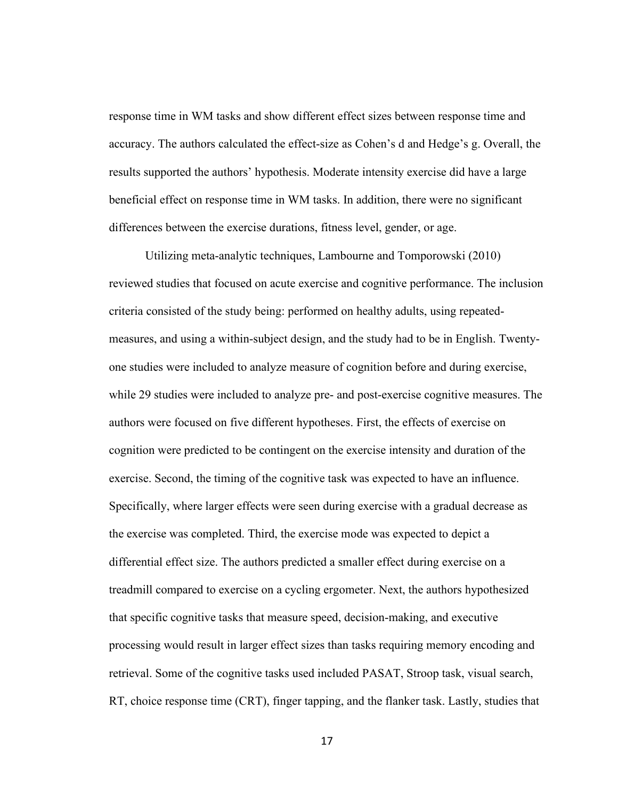response time in WM tasks and show different effect sizes between response time and accuracy. The authors calculated the effect-size as Cohen's d and Hedge's g. Overall, the results supported the authors' hypothesis. Moderate intensity exercise did have a large beneficial effect on response time in WM tasks. In addition, there were no significant differences between the exercise durations, fitness level, gender, or age.

Utilizing meta-analytic techniques, Lambourne and Tomporowski (2010) reviewed studies that focused on acute exercise and cognitive performance. The inclusion criteria consisted of the study being: performed on healthy adults, using repeatedmeasures, and using a within-subject design, and the study had to be in English. Twentyone studies were included to analyze measure of cognition before and during exercise, while 29 studies were included to analyze pre- and post-exercise cognitive measures. The authors were focused on five different hypotheses. First, the effects of exercise on cognition were predicted to be contingent on the exercise intensity and duration of the exercise. Second, the timing of the cognitive task was expected to have an influence. Specifically, where larger effects were seen during exercise with a gradual decrease as the exercise was completed. Third, the exercise mode was expected to depict a differential effect size. The authors predicted a smaller effect during exercise on a treadmill compared to exercise on a cycling ergometer. Next, the authors hypothesized that specific cognitive tasks that measure speed, decision-making, and executive processing would result in larger effect sizes than tasks requiring memory encoding and retrieval. Some of the cognitive tasks used included PASAT, Stroop task, visual search, RT, choice response time (CRT), finger tapping, and the flanker task. Lastly, studies that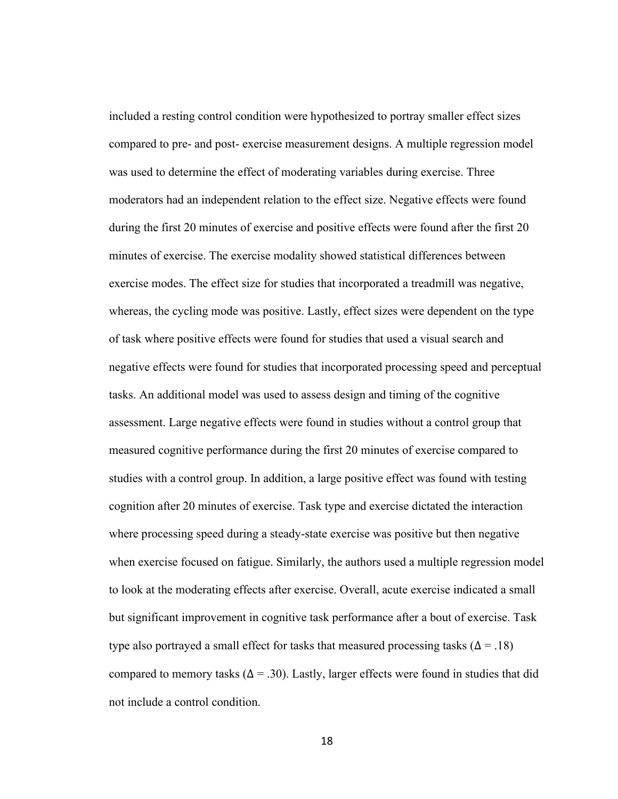included a resting control condition were hypothesized to portray smaller effect sizes compared to pre- and post- exercise measurement designs. A multiple regression model was used to determine the effect of moderating variables during exercise. Three moderators had an independent relation to the effect size. Negative effects were found during the first 20 minutes of exercise and positive effects were found after the first 20 minutes of exercise. The exercise modality showed statistical differences between exercise modes. The effect size for studies that incorporated a treadmill was negative, whereas, the cycling mode was positive. Lastly, effect sizes were dependent on the type of task where positive effects were found for studies that used a visual search and negative effects were found for studies that incorporated processing speed and perceptual tasks. An additional model was used to assess design and timing of the cognitive assessment. Large negative effects were found in studies without a control group that measured cognitive performance during the first 20 minutes of exercise compared to studies with a control group. In addition, a large positive effect was found with testing cognition after 20 minutes of exercise. Task type and exercise dictated the interaction where processing speed during a steady-state exercise was positive but then negative when exercise focused on fatigue. Similarly, the authors used a multiple regression model to look at the moderating effects after exercise. Overall, acute exercise indicated a small but significant improvement in cognitive task performance after a bout of exercise. Task type also portrayed a small effect for tasks that measured processing tasks ( $\Delta = .18$ ) compared to memory tasks ( $\Delta = 0.30$ ). Lastly, larger effects were found in studies that did not include a control condition.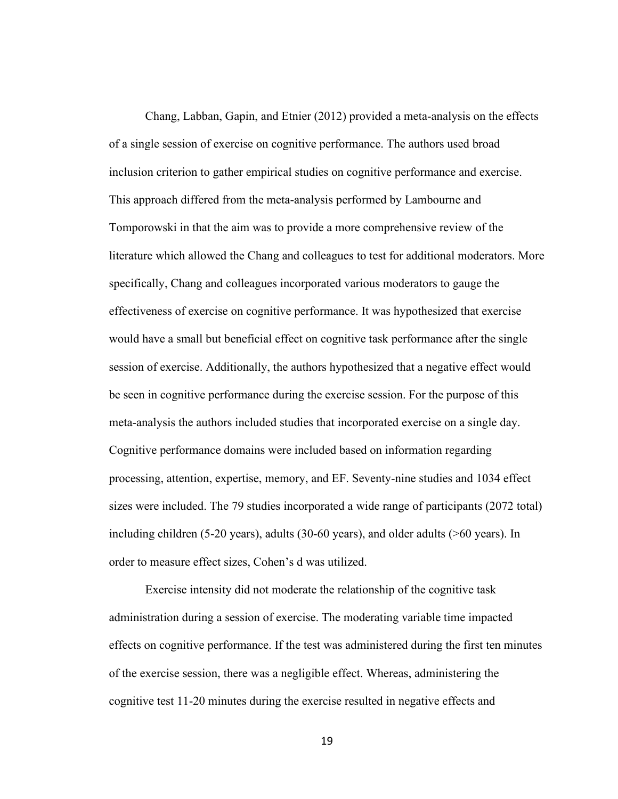Chang, Labban, Gapin, and Etnier (2012) provided a meta-analysis on the effects of a single session of exercise on cognitive performance. The authors used broad inclusion criterion to gather empirical studies on cognitive performance and exercise. This approach differed from the meta-analysis performed by Lambourne and Tomporowski in that the aim was to provide a more comprehensive review of the literature which allowed the Chang and colleagues to test for additional moderators. More specifically, Chang and colleagues incorporated various moderators to gauge the effectiveness of exercise on cognitive performance. It was hypothesized that exercise would have a small but beneficial effect on cognitive task performance after the single session of exercise. Additionally, the authors hypothesized that a negative effect would be seen in cognitive performance during the exercise session. For the purpose of this meta-analysis the authors included studies that incorporated exercise on a single day. Cognitive performance domains were included based on information regarding processing, attention, expertise, memory, and EF. Seventy-nine studies and 1034 effect sizes were included. The 79 studies incorporated a wide range of participants (2072 total) including children (5-20 years), adults (30-60 years), and older adults (>60 years). In order to measure effect sizes, Cohen's d was utilized.

Exercise intensity did not moderate the relationship of the cognitive task administration during a session of exercise. The moderating variable time impacted effects on cognitive performance. If the test was administered during the first ten minutes of the exercise session, there was a negligible effect. Whereas, administering the cognitive test 11-20 minutes during the exercise resulted in negative effects and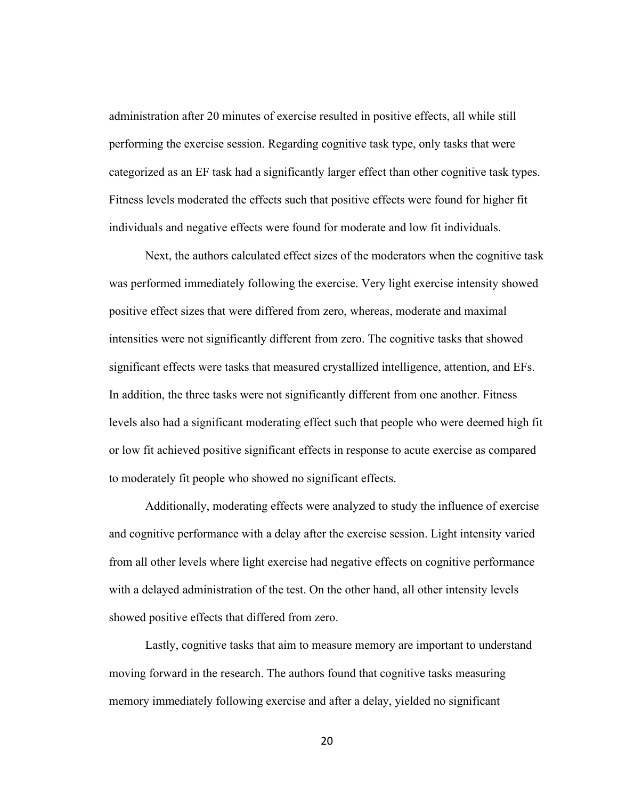administration after 20 minutes of exercise resulted in positive effects, all while still performing the exercise session. Regarding cognitive task type, only tasks that were categorized as an EF task had a significantly larger effect than other cognitive task types. Fitness levels moderated the effects such that positive effects were found for higher fit individuals and negative effects were found for moderate and low fit individuals.

Next, the authors calculated effect sizes of the moderators when the cognitive task was performed immediately following the exercise. Very light exercise intensity showed positive effect sizes that were differed from zero, whereas, moderate and maximal intensities were not significantly different from zero. The cognitive tasks that showed significant effects were tasks that measured crystallized intelligence, attention, and EFs. In addition, the three tasks were not significantly different from one another. Fitness levels also had a significant moderating effect such that people who were deemed high fit or low fit achieved positive significant effects in response to acute exercise as compared to moderately fit people who showed no significant effects.

Additionally, moderating effects were analyzed to study the influence of exercise and cognitive performance with a delay after the exercise session. Light intensity varied from all other levels where light exercise had negative effects on cognitive performance with a delayed administration of the test. On the other hand, all other intensity levels showed positive effects that differed from zero.

Lastly, cognitive tasks that aim to measure memory are important to understand moving forward in the research. The authors found that cognitive tasks measuring memory immediately following exercise and after a delay, yielded no significant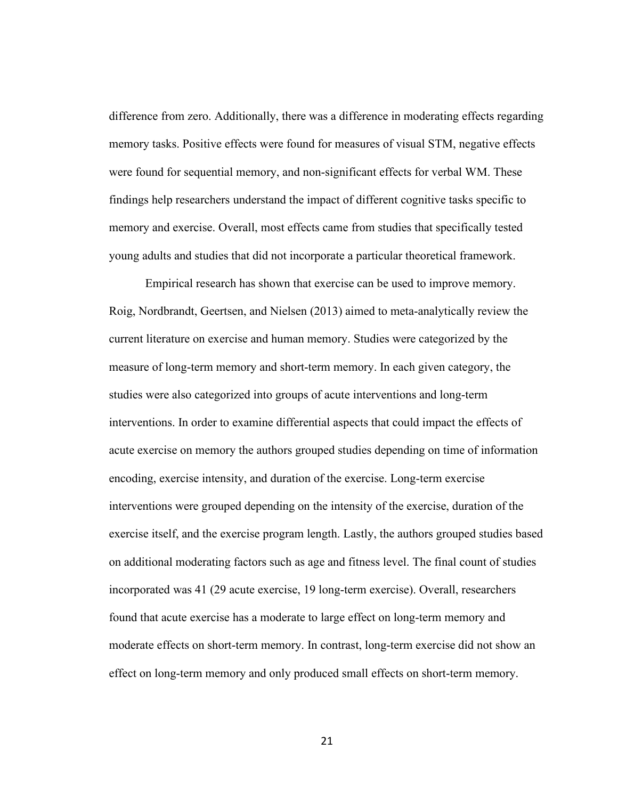difference from zero. Additionally, there was a difference in moderating effects regarding memory tasks. Positive effects were found for measures of visual STM, negative effects were found for sequential memory, and non-significant effects for verbal WM. These findings help researchers understand the impact of different cognitive tasks specific to memory and exercise. Overall, most effects came from studies that specifically tested young adults and studies that did not incorporate a particular theoretical framework.

Empirical research has shown that exercise can be used to improve memory. Roig, Nordbrandt, Geertsen, and Nielsen (2013) aimed to meta-analytically review the current literature on exercise and human memory. Studies were categorized by the measure of long-term memory and short-term memory. In each given category, the studies were also categorized into groups of acute interventions and long-term interventions. In order to examine differential aspects that could impact the effects of acute exercise on memory the authors grouped studies depending on time of information encoding, exercise intensity, and duration of the exercise. Long-term exercise interventions were grouped depending on the intensity of the exercise, duration of the exercise itself, and the exercise program length. Lastly, the authors grouped studies based on additional moderating factors such as age and fitness level. The final count of studies incorporated was 41 (29 acute exercise, 19 long-term exercise). Overall, researchers found that acute exercise has a moderate to large effect on long-term memory and moderate effects on short-term memory. In contrast, long-term exercise did not show an effect on long-term memory and only produced small effects on short-term memory.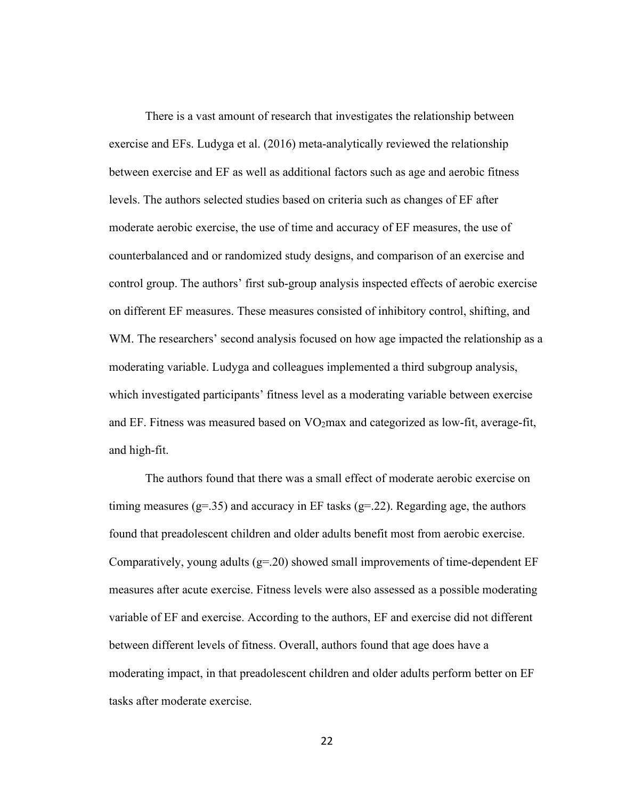There is a vast amount of research that investigates the relationship between exercise and EFs. Ludyga et al. (2016) meta-analytically reviewed the relationship between exercise and EF as well as additional factors such as age and aerobic fitness levels. The authors selected studies based on criteria such as changes of EF after moderate aerobic exercise, the use of time and accuracy of EF measures, the use of counterbalanced and or randomized study designs, and comparison of an exercise and control group. The authors' first sub-group analysis inspected effects of aerobic exercise on different EF measures. These measures consisted of inhibitory control, shifting, and WM. The researchers' second analysis focused on how age impacted the relationship as a moderating variable. Ludyga and colleagues implemented a third subgroup analysis, which investigated participants' fitness level as a moderating variable between exercise and EF. Fitness was measured based on  $VO<sub>2</sub>max$  and categorized as low-fit, average-fit, and high-fit.

The authors found that there was a small effect of moderate aerobic exercise on timing measures (g=.35) and accuracy in EF tasks (g=.22). Regarding age, the authors found that preadolescent children and older adults benefit most from aerobic exercise. Comparatively, young adults  $(g=0.20)$  showed small improvements of time-dependent EF measures after acute exercise. Fitness levels were also assessed as a possible moderating variable of EF and exercise. According to the authors, EF and exercise did not different between different levels of fitness. Overall, authors found that age does have a moderating impact, in that preadolescent children and older adults perform better on EF tasks after moderate exercise.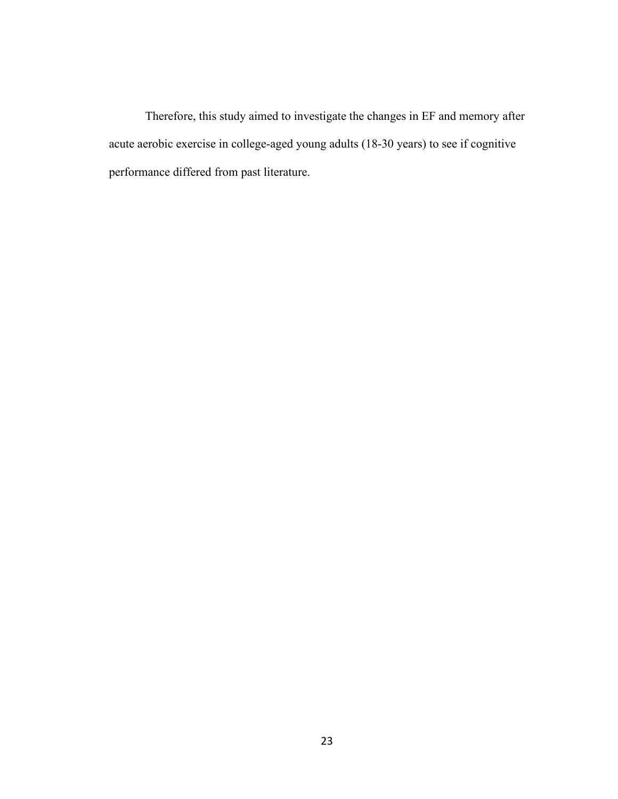Therefore, this study aimed to investigate the changes in EF and memory after acute aerobic exercise in college-aged young adults (18-30 years) to see if cognitive performance differed from past literature.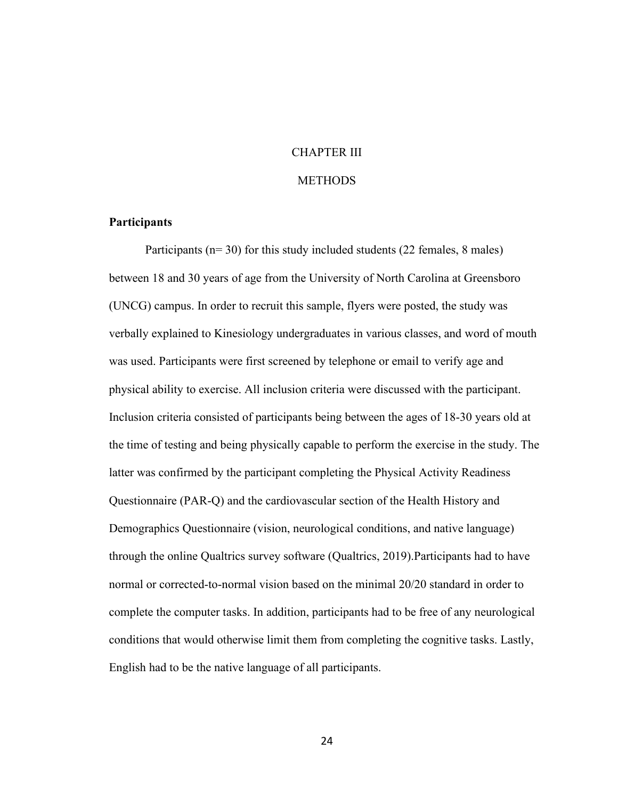# CHAPTER III

## **METHODS**

# **Participants**

Participants (n= 30) for this study included students (22 females, 8 males) between 18 and 30 years of age from the University of North Carolina at Greensboro (UNCG) campus. In order to recruit this sample, flyers were posted, the study was verbally explained to Kinesiology undergraduates in various classes, and word of mouth was used. Participants were first screened by telephone or email to verify age and physical ability to exercise. All inclusion criteria were discussed with the participant. Inclusion criteria consisted of participants being between the ages of 18-30 years old at the time of testing and being physically capable to perform the exercise in the study. The latter was confirmed by the participant completing the Physical Activity Readiness Questionnaire (PAR-Q) and the cardiovascular section of the Health History and Demographics Questionnaire (vision, neurological conditions, and native language) through the online Qualtrics survey software (Qualtrics, 2019).Participants had to have normal or corrected-to-normal vision based on the minimal 20/20 standard in order to complete the computer tasks. In addition, participants had to be free of any neurological conditions that would otherwise limit them from completing the cognitive tasks. Lastly, English had to be the native language of all participants.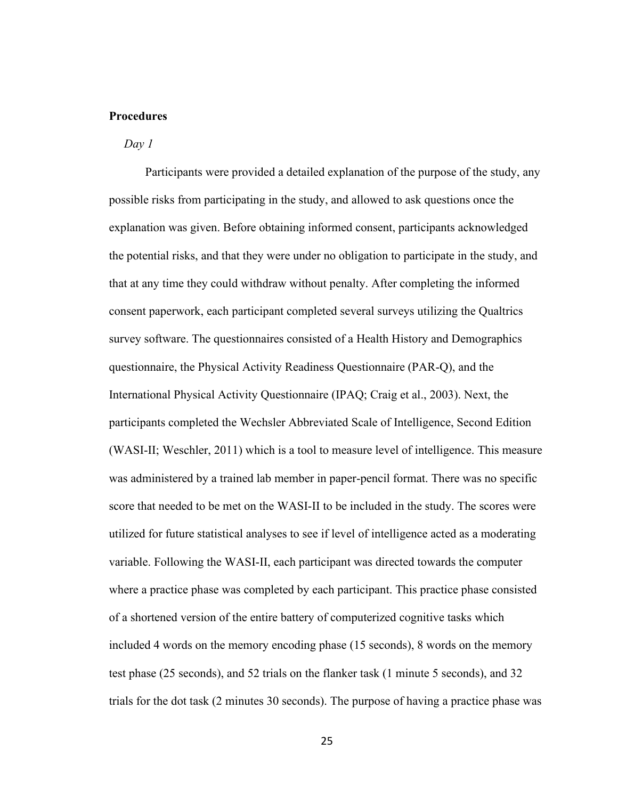# **Procedures**

#### *Day 1*

Participants were provided a detailed explanation of the purpose of the study, any possible risks from participating in the study, and allowed to ask questions once the explanation was given. Before obtaining informed consent, participants acknowledged the potential risks, and that they were under no obligation to participate in the study, and that at any time they could withdraw without penalty. After completing the informed consent paperwork, each participant completed several surveys utilizing the Qualtrics survey software. The questionnaires consisted of a Health History and Demographics questionnaire, the Physical Activity Readiness Questionnaire (PAR-Q), and the International Physical Activity Questionnaire (IPAQ; Craig et al., 2003). Next, the participants completed the Wechsler Abbreviated Scale of Intelligence, Second Edition (WASI-II; Weschler, 2011) which is a tool to measure level of intelligence. This measure was administered by a trained lab member in paper-pencil format. There was no specific score that needed to be met on the WASI-II to be included in the study. The scores were utilized for future statistical analyses to see if level of intelligence acted as a moderating variable. Following the WASI-II, each participant was directed towards the computer where a practice phase was completed by each participant. This practice phase consisted of a shortened version of the entire battery of computerized cognitive tasks which included 4 words on the memory encoding phase (15 seconds), 8 words on the memory test phase (25 seconds), and 52 trials on the flanker task (1 minute 5 seconds), and 32 trials for the dot task (2 minutes 30 seconds). The purpose of having a practice phase was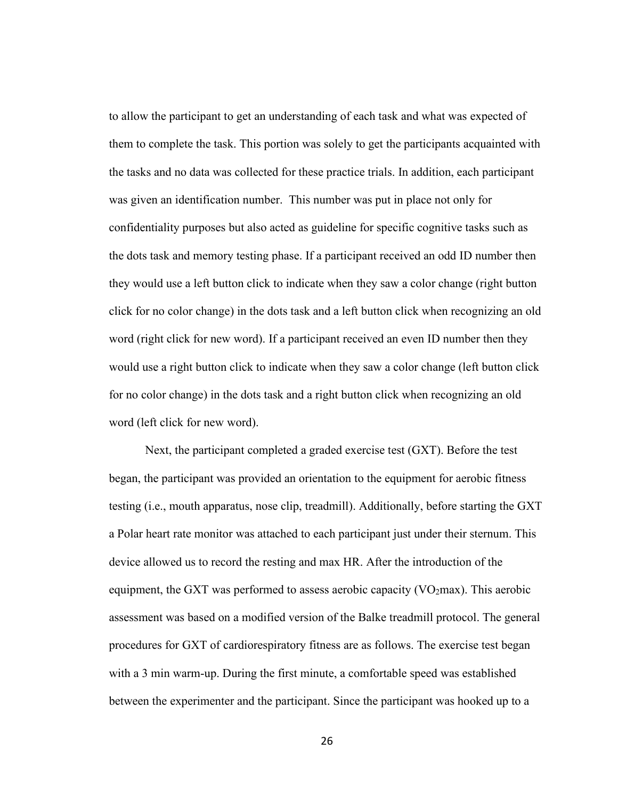to allow the participant to get an understanding of each task and what was expected of them to complete the task. This portion was solely to get the participants acquainted with the tasks and no data was collected for these practice trials. In addition, each participant was given an identification number. This number was put in place not only for confidentiality purposes but also acted as guideline for specific cognitive tasks such as the dots task and memory testing phase. If a participant received an odd ID number then they would use a left button click to indicate when they saw a color change (right button click for no color change) in the dots task and a left button click when recognizing an old word (right click for new word). If a participant received an even ID number then they would use a right button click to indicate when they saw a color change (left button click for no color change) in the dots task and a right button click when recognizing an old word (left click for new word).

Next, the participant completed a graded exercise test (GXT). Before the test began, the participant was provided an orientation to the equipment for aerobic fitness testing (i.e., mouth apparatus, nose clip, treadmill). Additionally, before starting the GXT a Polar heart rate monitor was attached to each participant just under their sternum. This device allowed us to record the resting and max HR. After the introduction of the equipment, the GXT was performed to assess aerobic capacity ( $VO<sub>2</sub>max$ ). This aerobic assessment was based on a modified version of the Balke treadmill protocol. The general procedures for GXT of cardiorespiratory fitness are as follows. The exercise test began with a 3 min warm-up. During the first minute, a comfortable speed was established between the experimenter and the participant. Since the participant was hooked up to a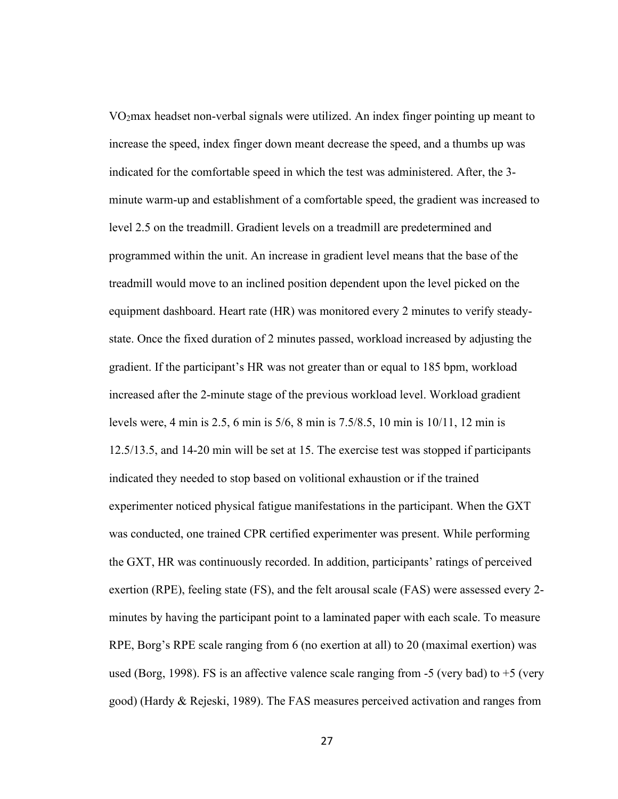VO2max headset non-verbal signals were utilized. An index finger pointing up meant to increase the speed, index finger down meant decrease the speed, and a thumbs up was indicated for the comfortable speed in which the test was administered. After, the 3 minute warm-up and establishment of a comfortable speed, the gradient was increased to level 2.5 on the treadmill. Gradient levels on a treadmill are predetermined and programmed within the unit. An increase in gradient level means that the base of the treadmill would move to an inclined position dependent upon the level picked on the equipment dashboard. Heart rate (HR) was monitored every 2 minutes to verify steadystate. Once the fixed duration of 2 minutes passed, workload increased by adjusting the gradient. If the participant's HR was not greater than or equal to 185 bpm, workload increased after the 2-minute stage of the previous workload level. Workload gradient levels were, 4 min is 2.5, 6 min is 5/6, 8 min is 7.5/8.5, 10 min is 10/11, 12 min is 12.5/13.5, and 14-20 min will be set at 15. The exercise test was stopped if participants indicated they needed to stop based on volitional exhaustion or if the trained experimenter noticed physical fatigue manifestations in the participant. When the GXT was conducted, one trained CPR certified experimenter was present. While performing the GXT, HR was continuously recorded. In addition, participants' ratings of perceived exertion (RPE), feeling state (FS), and the felt arousal scale (FAS) were assessed every 2 minutes by having the participant point to a laminated paper with each scale. To measure RPE, Borg's RPE scale ranging from 6 (no exertion at all) to 20 (maximal exertion) was used (Borg, 1998). FS is an affective valence scale ranging from -5 (very bad) to +5 (very good) (Hardy & Rejeski, 1989). The FAS measures perceived activation and ranges from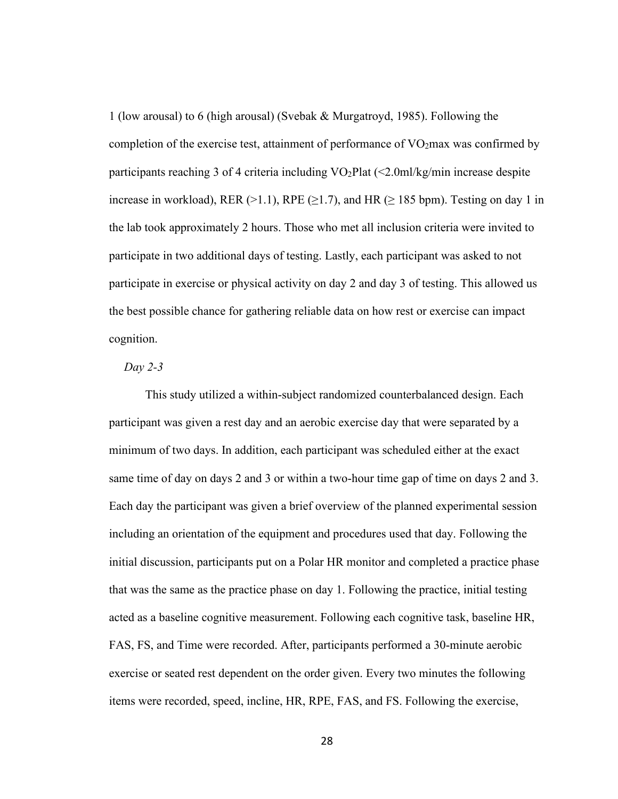1 (low arousal) to 6 (high arousal) (Svebak & Murgatroyd, 1985). Following the completion of the exercise test, attainment of performance of  $VO<sub>2</sub>$ max was confirmed by participants reaching 3 of 4 criteria including  $VO<sub>2</sub>Plat (<2.0m]/kg/min$  increase despite increase in workload), RER (>1.1), RPE ( $\geq$ 1.7), and HR ( $\geq$  185 bpm). Testing on day 1 in the lab took approximately 2 hours. Those who met all inclusion criteria were invited to participate in two additional days of testing. Lastly, each participant was asked to not participate in exercise or physical activity on day 2 and day 3 of testing. This allowed us the best possible chance for gathering reliable data on how rest or exercise can impact cognition.

#### *Day 2-3*

This study utilized a within-subject randomized counterbalanced design. Each participant was given a rest day and an aerobic exercise day that were separated by a minimum of two days. In addition, each participant was scheduled either at the exact same time of day on days 2 and 3 or within a two-hour time gap of time on days 2 and 3. Each day the participant was given a brief overview of the planned experimental session including an orientation of the equipment and procedures used that day. Following the initial discussion, participants put on a Polar HR monitor and completed a practice phase that was the same as the practice phase on day 1. Following the practice, initial testing acted as a baseline cognitive measurement. Following each cognitive task, baseline HR, FAS, FS, and Time were recorded. After, participants performed a 30-minute aerobic exercise or seated rest dependent on the order given. Every two minutes the following items were recorded, speed, incline, HR, RPE, FAS, and FS. Following the exercise,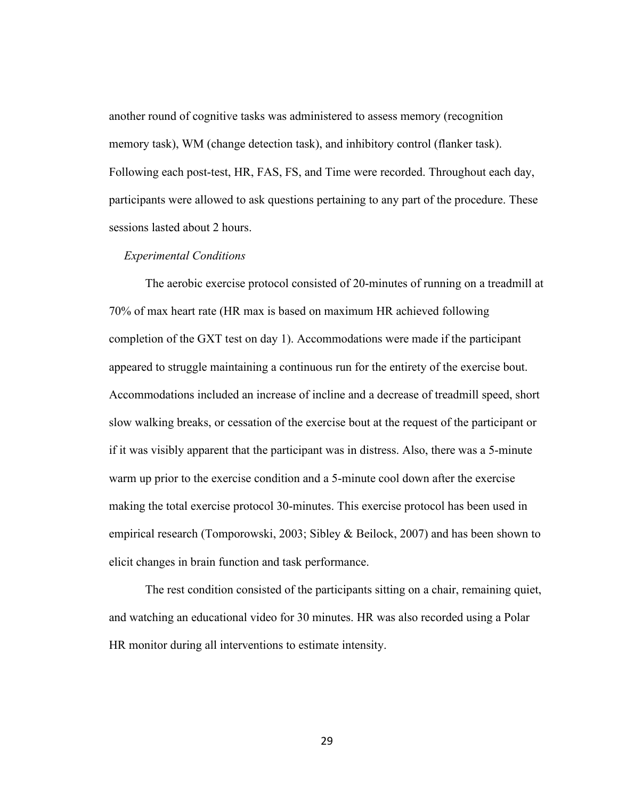another round of cognitive tasks was administered to assess memory (recognition memory task), WM (change detection task), and inhibitory control (flanker task). Following each post-test, HR, FAS, FS, and Time were recorded. Throughout each day, participants were allowed to ask questions pertaining to any part of the procedure. These sessions lasted about 2 hours.

#### *Experimental Conditions*

The aerobic exercise protocol consisted of 20-minutes of running on a treadmill at 70% of max heart rate (HR max is based on maximum HR achieved following completion of the GXT test on day 1). Accommodations were made if the participant appeared to struggle maintaining a continuous run for the entirety of the exercise bout. Accommodations included an increase of incline and a decrease of treadmill speed, short slow walking breaks, or cessation of the exercise bout at the request of the participant or if it was visibly apparent that the participant was in distress. Also, there was a 5-minute warm up prior to the exercise condition and a 5-minute cool down after the exercise making the total exercise protocol 30-minutes. This exercise protocol has been used in empirical research (Tomporowski, 2003; Sibley & Beilock, 2007) and has been shown to elicit changes in brain function and task performance.

The rest condition consisted of the participants sitting on a chair, remaining quiet, and watching an educational video for 30 minutes. HR was also recorded using a Polar HR monitor during all interventions to estimate intensity.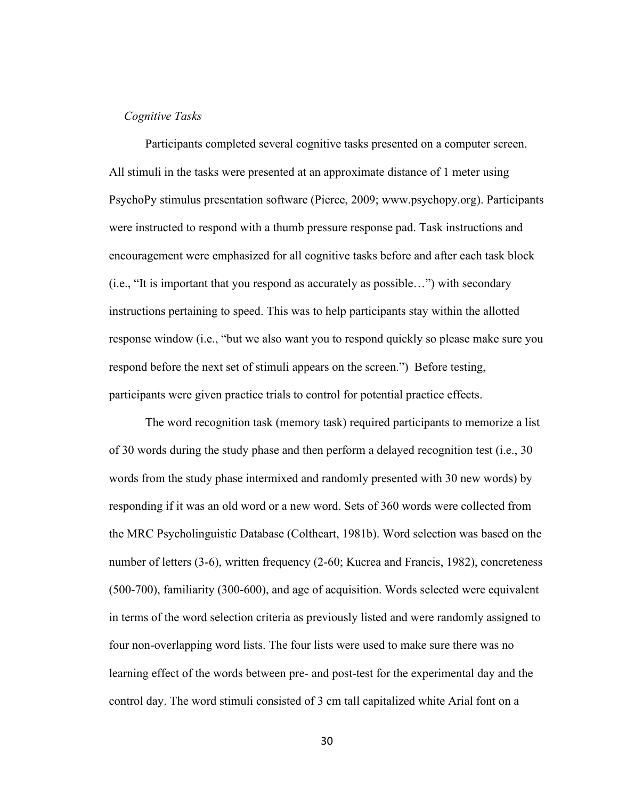### *Cognitive Tasks*

Participants completed several cognitive tasks presented on a computer screen. All stimuli in the tasks were presented at an approximate distance of 1 meter using PsychoPy stimulus presentation software (Pierce, 2009; www.psychopy.org). Participants were instructed to respond with a thumb pressure response pad. Task instructions and encouragement were emphasized for all cognitive tasks before and after each task block (i.e., "It is important that you respond as accurately as possible…") with secondary instructions pertaining to speed. This was to help participants stay within the allotted response window (i.e., "but we also want you to respond quickly so please make sure you respond before the next set of stimuli appears on the screen.") Before testing, participants were given practice trials to control for potential practice effects.

The word recognition task (memory task) required participants to memorize a list of 30 words during the study phase and then perform a delayed recognition test (i.e., 30 words from the study phase intermixed and randomly presented with 30 new words) by responding if it was an old word or a new word. Sets of 360 words were collected from the MRC Psycholinguistic Database (Coltheart, 1981b). Word selection was based on the number of letters (3-6), written frequency (2-60; Kucrea and Francis, 1982), concreteness (500-700), familiarity (300-600), and age of acquisition. Words selected were equivalent in terms of the word selection criteria as previously listed and were randomly assigned to four non-overlapping word lists. The four lists were used to make sure there was no learning effect of the words between pre- and post-test for the experimental day and the control day. The word stimuli consisted of 3 cm tall capitalized white Arial font on a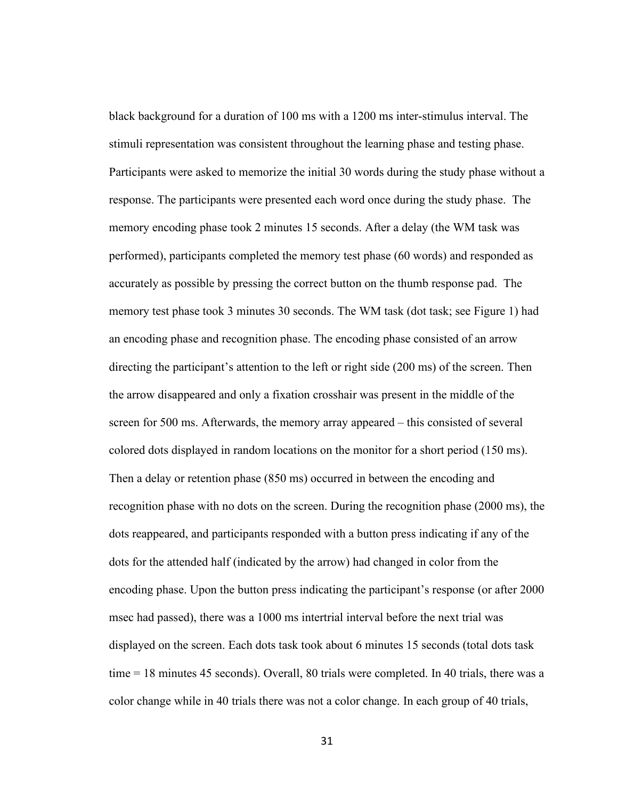black background for a duration of 100 ms with a 1200 ms inter-stimulus interval. The stimuli representation was consistent throughout the learning phase and testing phase. Participants were asked to memorize the initial 30 words during the study phase without a response. The participants were presented each word once during the study phase. The memory encoding phase took 2 minutes 15 seconds. After a delay (the WM task was performed), participants completed the memory test phase (60 words) and responded as accurately as possible by pressing the correct button on the thumb response pad. The memory test phase took 3 minutes 30 seconds. The WM task (dot task; see Figure 1) had an encoding phase and recognition phase. The encoding phase consisted of an arrow directing the participant's attention to the left or right side (200 ms) of the screen. Then the arrow disappeared and only a fixation crosshair was present in the middle of the screen for 500 ms. Afterwards, the memory array appeared – this consisted of several colored dots displayed in random locations on the monitor for a short period (150 ms). Then a delay or retention phase (850 ms) occurred in between the encoding and recognition phase with no dots on the screen. During the recognition phase (2000 ms), the dots reappeared, and participants responded with a button press indicating if any of the dots for the attended half (indicated by the arrow) had changed in color from the encoding phase. Upon the button press indicating the participant's response (or after 2000 msec had passed), there was a 1000 ms intertrial interval before the next trial was displayed on the screen. Each dots task took about 6 minutes 15 seconds (total dots task time = 18 minutes 45 seconds). Overall, 80 trials were completed. In 40 trials, there was a color change while in 40 trials there was not a color change. In each group of 40 trials,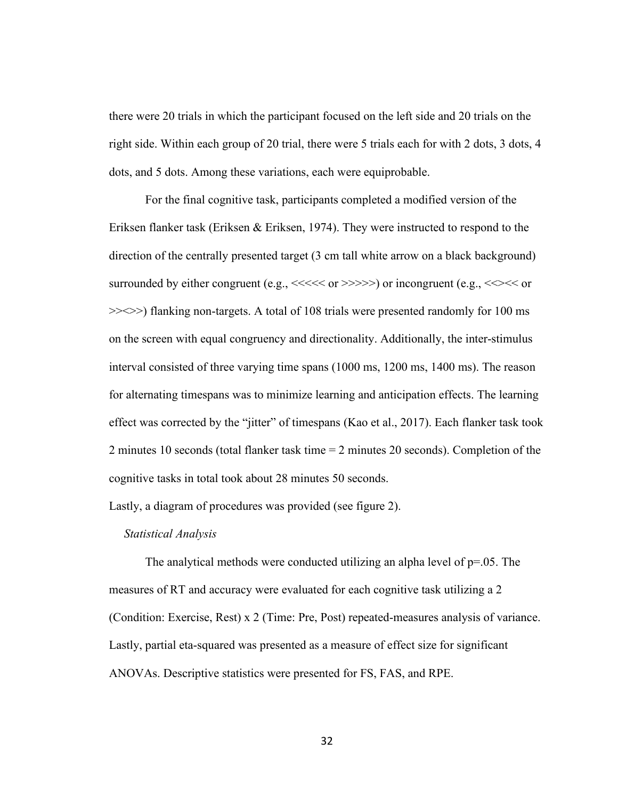there were 20 trials in which the participant focused on the left side and 20 trials on the right side. Within each group of 20 trial, there were 5 trials each for with 2 dots, 3 dots, 4 dots, and 5 dots. Among these variations, each were equiprobable.

For the final cognitive task, participants completed a modified version of the Eriksen flanker task (Eriksen & Eriksen, 1974). They were instructed to respond to the direction of the centrally presented target (3 cm tall white arrow on a black background) surrounded by either congruent (e.g.,  $\ll\ll\ll$  or  $\gg\gg\gg$ ) or incongruent (e.g.,  $\ll\ll\ll\ll$  or >><>>) flanking non-targets. A total of 108 trials were presented randomly for 100 ms on the screen with equal congruency and directionality. Additionally, the inter-stimulus interval consisted of three varying time spans (1000 ms, 1200 ms, 1400 ms). The reason for alternating timespans was to minimize learning and anticipation effects. The learning effect was corrected by the "jitter" of timespans (Kao et al., 2017). Each flanker task took 2 minutes 10 seconds (total flanker task time = 2 minutes 20 seconds). Completion of the cognitive tasks in total took about 28 minutes 50 seconds.

Lastly, a diagram of procedures was provided (see figure 2).

### *Statistical Analysis*

The analytical methods were conducted utilizing an alpha level of  $p=.05$ . The measures of RT and accuracy were evaluated for each cognitive task utilizing a 2 (Condition: Exercise, Rest) x 2 (Time: Pre, Post) repeated-measures analysis of variance. Lastly, partial eta-squared was presented as a measure of effect size for significant ANOVAs. Descriptive statistics were presented for FS, FAS, and RPE.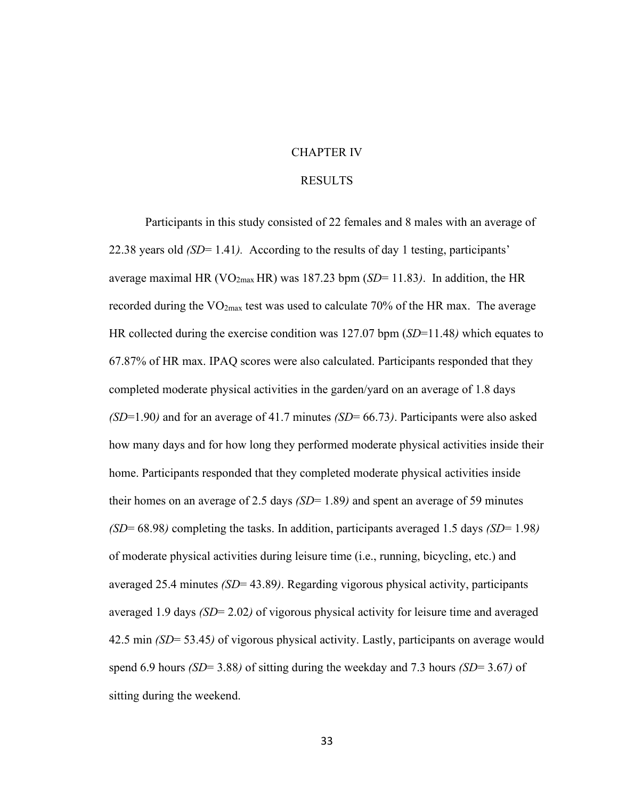# CHAPTER IV

### RESULTS

Participants in this study consisted of 22 females and 8 males with an average of 22.38 years old *(SD*= 1.41*).* According to the results of day 1 testing, participants' average maximal HR ( $VO<sub>2max</sub> HR$ ) was 187.23 bpm ( $SD=11.83$ ). In addition, the HR recorded during the  $VO_{2max}$  test was used to calculate 70% of the HR max. The average HR collected during the exercise condition was 127.07 bpm (*SD*=11.48*)* which equates to 67.87% of HR max. IPAQ scores were also calculated. Participants responded that they completed moderate physical activities in the garden/yard on an average of 1.8 days *(SD*=1.90*)* and for an average of 41.7 minutes *(SD*= 66.73*)*. Participants were also asked how many days and for how long they performed moderate physical activities inside their home. Participants responded that they completed moderate physical activities inside their homes on an average of 2.5 days *(SD*= 1.89*)* and spent an average of 59 minutes *(SD*= 68.98*)* completing the tasks. In addition, participants averaged 1.5 days *(SD*= 1.98*)* of moderate physical activities during leisure time (i.e., running, bicycling, etc.) and averaged 25.4 minutes *(SD*= 43.89*)*. Regarding vigorous physical activity, participants averaged 1.9 days *(SD*= 2.02*)* of vigorous physical activity for leisure time and averaged 42.5 min *(SD*= 53.45*)* of vigorous physical activity. Lastly, participants on average would spend 6.9 hours *(SD*= 3.88*)* of sitting during the weekday and 7.3 hours *(SD*= 3.67*)* of sitting during the weekend.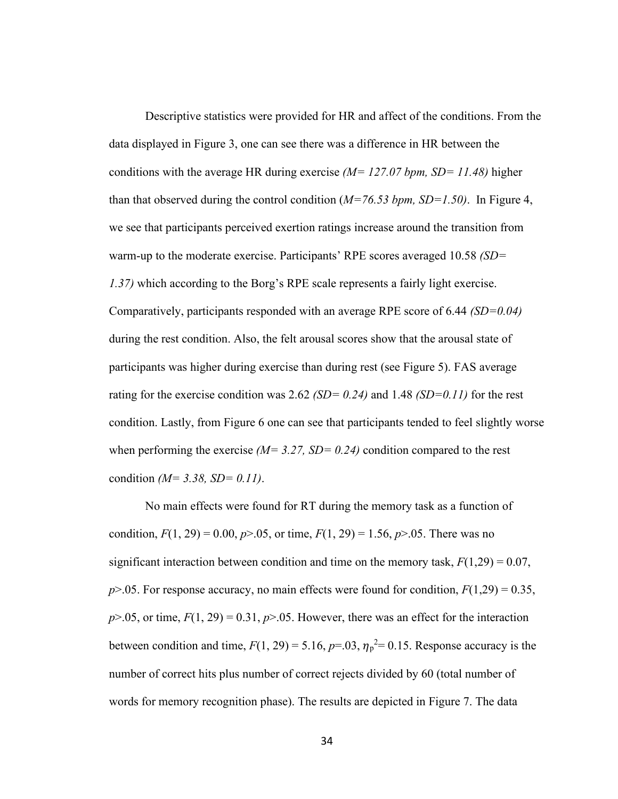Descriptive statistics were provided for HR and affect of the conditions. From the data displayed in Figure 3, one can see there was a difference in HR between the conditions with the average HR during exercise *(M= 127.07 bpm, SD= 11.48)* higher than that observed during the control condition (*M=76.53 bpm, SD=1.50)*. In Figure 4, we see that participants perceived exertion ratings increase around the transition from warm-up to the moderate exercise. Participants' RPE scores averaged 10.58 *(SD= 1.37)* which according to the Borg's RPE scale represents a fairly light exercise. Comparatively, participants responded with an average RPE score of 6.44 *(SD=0.04)* during the rest condition. Also, the felt arousal scores show that the arousal state of participants was higher during exercise than during rest (see Figure 5). FAS average rating for the exercise condition was 2.62 *(SD= 0.24)* and 1.48 *(SD=0.11)* for the rest condition. Lastly, from Figure 6 one can see that participants tended to feel slightly worse when performing the exercise  $(M= 3.27, SD= 0.24)$  condition compared to the rest condition *(M= 3.38, SD= 0.11)*.

No main effects were found for RT during the memory task as a function of condition,  $F(1, 29) = 0.00$ ,  $p > 0.05$ , or time,  $F(1, 29) = 1.56$ ,  $p > 0.05$ . There was no significant interaction between condition and time on the memory task,  $F(1,29) = 0.07$ ,  $p$ >.05. For response accuracy, no main effects were found for condition,  $F(1,29) = 0.35$ ,  $p > 0.05$ , or time,  $F(1, 29) = 0.31$ ,  $p > 0.05$ . However, there was an effect for the interaction between condition and time,  $F(1, 29) = 5.16$ ,  $p=0.03$ ,  $\eta_p^2 = 0.15$ . Response accuracy is the number of correct hits plus number of correct rejects divided by 60 (total number of words for memory recognition phase). The results are depicted in Figure 7. The data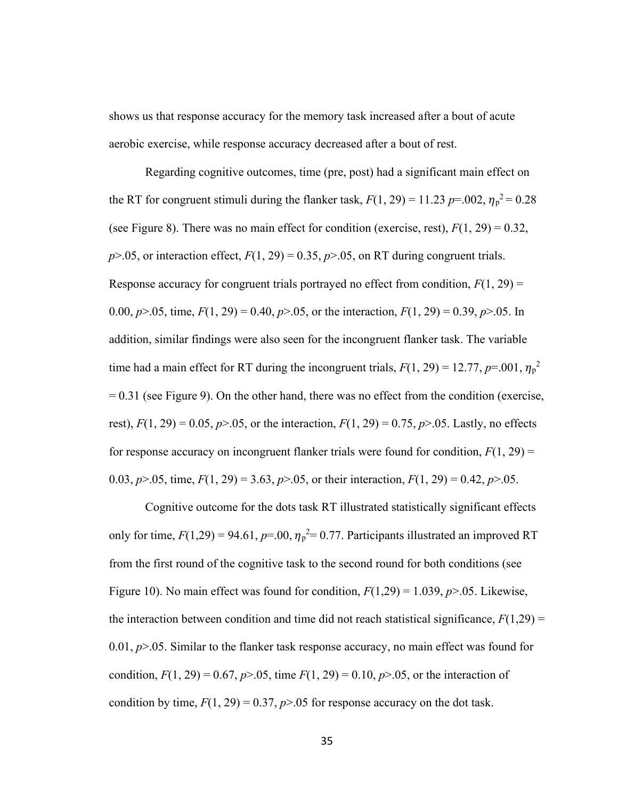shows us that response accuracy for the memory task increased after a bout of acute aerobic exercise, while response accuracy decreased after a bout of rest.

Regarding cognitive outcomes, time (pre, post) had a significant main effect on the RT for congruent stimuli during the flanker task,  $F(1, 29) = 11.23 \ p = .002, \eta_p^2 = 0.28$ (see Figure 8). There was no main effect for condition (exercise, rest),  $F(1, 29) = 0.32$ ,  $p > .05$ , or interaction effect,  $F(1, 29) = 0.35$ ,  $p > .05$ , on RT during congruent trials. Response accuracy for congruent trials portrayed no effect from condition,  $F(1, 29) =$ 0.00,  $p > 0.05$ , time,  $F(1, 29) = 0.40$ ,  $p > 0.05$ , or the interaction,  $F(1, 29) = 0.39$ ,  $p > 0.05$ . In addition, similar findings were also seen for the incongruent flanker task. The variable time had a main effect for RT during the incongruent trials,  $F(1, 29) = 12.77$ ,  $p=0.01$ ,  $\eta_p^2$  $= 0.31$  (see Figure 9). On the other hand, there was no effect from the condition (exercise, rest),  $F(1, 29) = 0.05$ ,  $p > 0.05$ , or the interaction,  $F(1, 29) = 0.75$ ,  $p > 0.05$ . Lastly, no effects for response accuracy on incongruent flanker trials were found for condition,  $F(1, 29)$  = 0.03,  $p > 0.05$ , time,  $F(1, 29) = 3.63$ ,  $p > 0.05$ , or their interaction,  $F(1, 29) = 0.42$ ,  $p > 0.05$ .

Cognitive outcome for the dots task RT illustrated statistically significant effects only for time,  $F(1,29) = 94.61$ ,  $p=0.0$ ,  $\eta_p^2 = 0.77$ . Participants illustrated an improved RT from the first round of the cognitive task to the second round for both conditions (see Figure 10). No main effect was found for condition,  $F(1,29) = 1.039$ ,  $p > 0.05$ . Likewise, the interaction between condition and time did not reach statistical significance,  $F(1,29)$  = 0.01, *p*>.05. Similar to the flanker task response accuracy, no main effect was found for condition,  $F(1, 29) = 0.67$ ,  $p > 0.05$ , time  $F(1, 29) = 0.10$ ,  $p > 0.05$ , or the interaction of condition by time,  $F(1, 29) = 0.37$ ,  $p > 0.05$  for response accuracy on the dot task.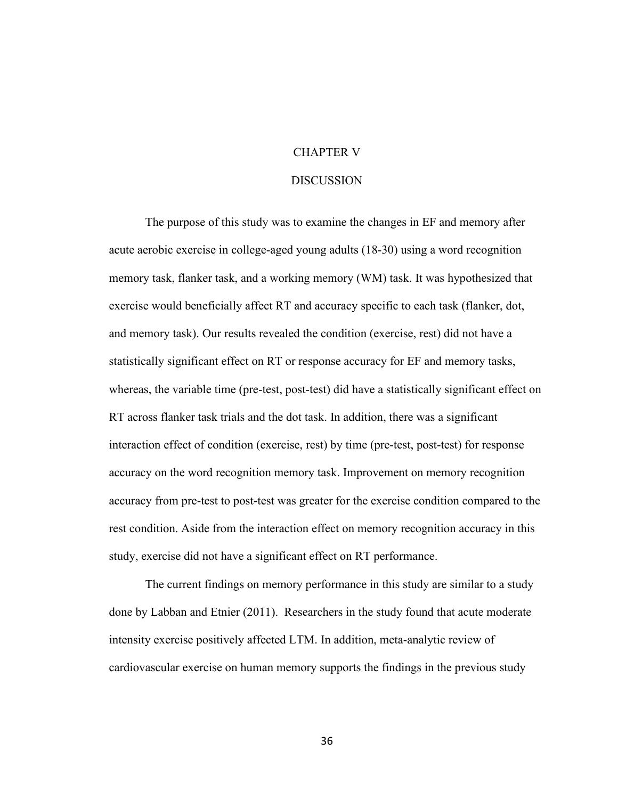# CHAPTER V

#### **DISCUSSION**

The purpose of this study was to examine the changes in EF and memory after acute aerobic exercise in college-aged young adults (18-30) using a word recognition memory task, flanker task, and a working memory (WM) task. It was hypothesized that exercise would beneficially affect RT and accuracy specific to each task (flanker, dot, and memory task). Our results revealed the condition (exercise, rest) did not have a statistically significant effect on RT or response accuracy for EF and memory tasks, whereas, the variable time (pre-test, post-test) did have a statistically significant effect on RT across flanker task trials and the dot task. In addition, there was a significant interaction effect of condition (exercise, rest) by time (pre-test, post-test) for response accuracy on the word recognition memory task. Improvement on memory recognition accuracy from pre-test to post-test was greater for the exercise condition compared to the rest condition. Aside from the interaction effect on memory recognition accuracy in this study, exercise did not have a significant effect on RT performance.

The current findings on memory performance in this study are similar to a study done by Labban and Etnier (2011). Researchers in the study found that acute moderate intensity exercise positively affected LTM. In addition, meta-analytic review of cardiovascular exercise on human memory supports the findings in the previous study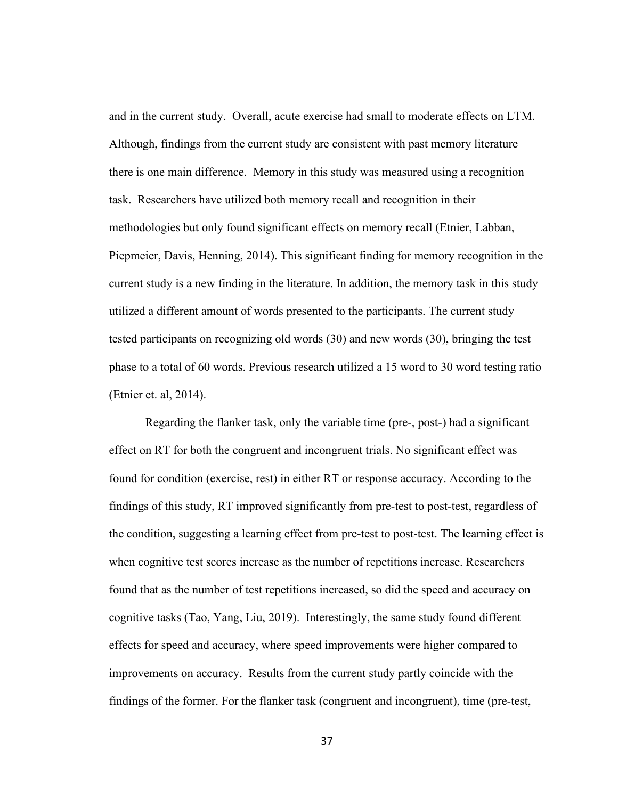and in the current study. Overall, acute exercise had small to moderate effects on LTM. Although, findings from the current study are consistent with past memory literature there is one main difference. Memory in this study was measured using a recognition task. Researchers have utilized both memory recall and recognition in their methodologies but only found significant effects on memory recall (Etnier, Labban, Piepmeier, Davis, Henning, 2014). This significant finding for memory recognition in the current study is a new finding in the literature. In addition, the memory task in this study utilized a different amount of words presented to the participants. The current study tested participants on recognizing old words (30) and new words (30), bringing the test phase to a total of 60 words. Previous research utilized a 15 word to 30 word testing ratio (Etnier et. al, 2014).

Regarding the flanker task, only the variable time (pre-, post-) had a significant effect on RT for both the congruent and incongruent trials. No significant effect was found for condition (exercise, rest) in either RT or response accuracy. According to the findings of this study, RT improved significantly from pre-test to post-test, regardless of the condition, suggesting a learning effect from pre-test to post-test. The learning effect is when cognitive test scores increase as the number of repetitions increase. Researchers found that as the number of test repetitions increased, so did the speed and accuracy on cognitive tasks (Tao, Yang, Liu, 2019). Interestingly, the same study found different effects for speed and accuracy, where speed improvements were higher compared to improvements on accuracy. Results from the current study partly coincide with the findings of the former. For the flanker task (congruent and incongruent), time (pre-test,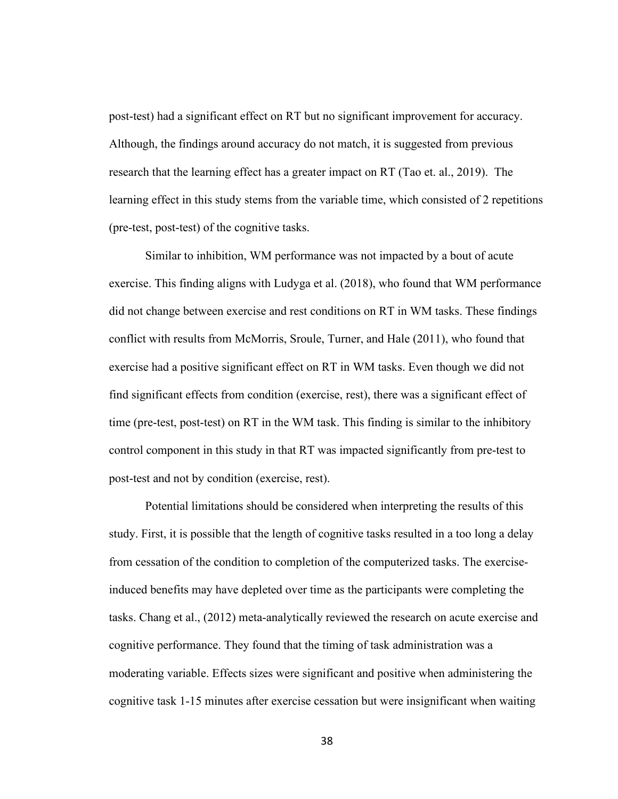post-test) had a significant effect on RT but no significant improvement for accuracy. Although, the findings around accuracy do not match, it is suggested from previous research that the learning effect has a greater impact on RT (Tao et. al., 2019). The learning effect in this study stems from the variable time, which consisted of 2 repetitions (pre-test, post-test) of the cognitive tasks.

Similar to inhibition, WM performance was not impacted by a bout of acute exercise. This finding aligns with Ludyga et al. (2018), who found that WM performance did not change between exercise and rest conditions on RT in WM tasks. These findings conflict with results from McMorris, Sroule, Turner, and Hale (2011), who found that exercise had a positive significant effect on RT in WM tasks. Even though we did not find significant effects from condition (exercise, rest), there was a significant effect of time (pre-test, post-test) on RT in the WM task. This finding is similar to the inhibitory control component in this study in that RT was impacted significantly from pre-test to post-test and not by condition (exercise, rest).

Potential limitations should be considered when interpreting the results of this study. First, it is possible that the length of cognitive tasks resulted in a too long a delay from cessation of the condition to completion of the computerized tasks. The exerciseinduced benefits may have depleted over time as the participants were completing the tasks. Chang et al., (2012) meta-analytically reviewed the research on acute exercise and cognitive performance. They found that the timing of task administration was a moderating variable. Effects sizes were significant and positive when administering the cognitive task 1-15 minutes after exercise cessation but were insignificant when waiting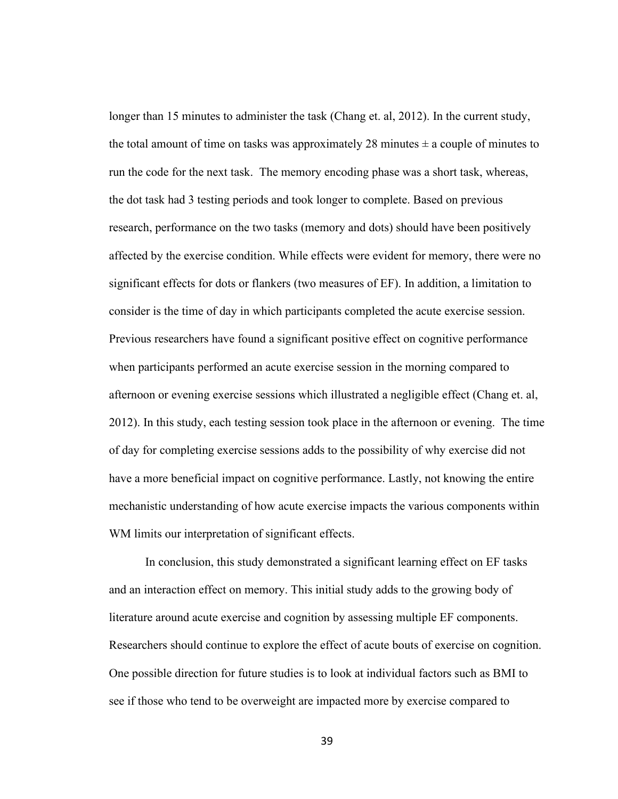longer than 15 minutes to administer the task (Chang et. al, 2012). In the current study, the total amount of time on tasks was approximately 28 minutes  $\pm$  a couple of minutes to run the code for the next task. The memory encoding phase was a short task, whereas, the dot task had 3 testing periods and took longer to complete. Based on previous research, performance on the two tasks (memory and dots) should have been positively affected by the exercise condition. While effects were evident for memory, there were no significant effects for dots or flankers (two measures of EF). In addition, a limitation to consider is the time of day in which participants completed the acute exercise session. Previous researchers have found a significant positive effect on cognitive performance when participants performed an acute exercise session in the morning compared to afternoon or evening exercise sessions which illustrated a negligible effect (Chang et. al, 2012). In this study, each testing session took place in the afternoon or evening. The time of day for completing exercise sessions adds to the possibility of why exercise did not have a more beneficial impact on cognitive performance. Lastly, not knowing the entire mechanistic understanding of how acute exercise impacts the various components within WM limits our interpretation of significant effects.

In conclusion, this study demonstrated a significant learning effect on EF tasks and an interaction effect on memory. This initial study adds to the growing body of literature around acute exercise and cognition by assessing multiple EF components. Researchers should continue to explore the effect of acute bouts of exercise on cognition. One possible direction for future studies is to look at individual factors such as BMI to see if those who tend to be overweight are impacted more by exercise compared to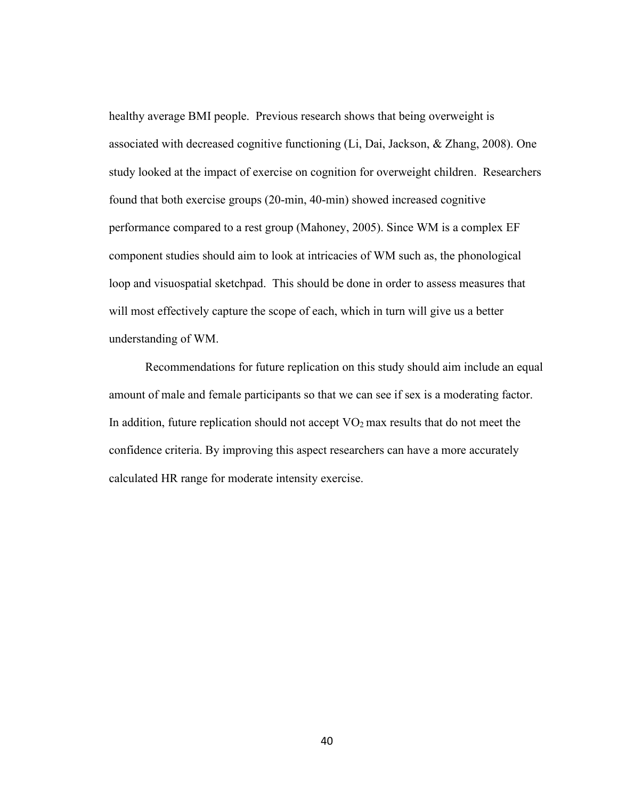healthy average BMI people. Previous research shows that being overweight is associated with decreased cognitive functioning (Li, Dai, Jackson, & Zhang, 2008). One study looked at the impact of exercise on cognition for overweight children. Researchers found that both exercise groups (20-min, 40-min) showed increased cognitive performance compared to a rest group (Mahoney, 2005). Since WM is a complex EF component studies should aim to look at intricacies of WM such as, the phonological loop and visuospatial sketchpad. This should be done in order to assess measures that will most effectively capture the scope of each, which in turn will give us a better understanding of WM.

Recommendations for future replication on this study should aim include an equal amount of male and female participants so that we can see if sex is a moderating factor. In addition, future replication should not accept  $VO<sub>2</sub>$  max results that do not meet the confidence criteria. By improving this aspect researchers can have a more accurately calculated HR range for moderate intensity exercise.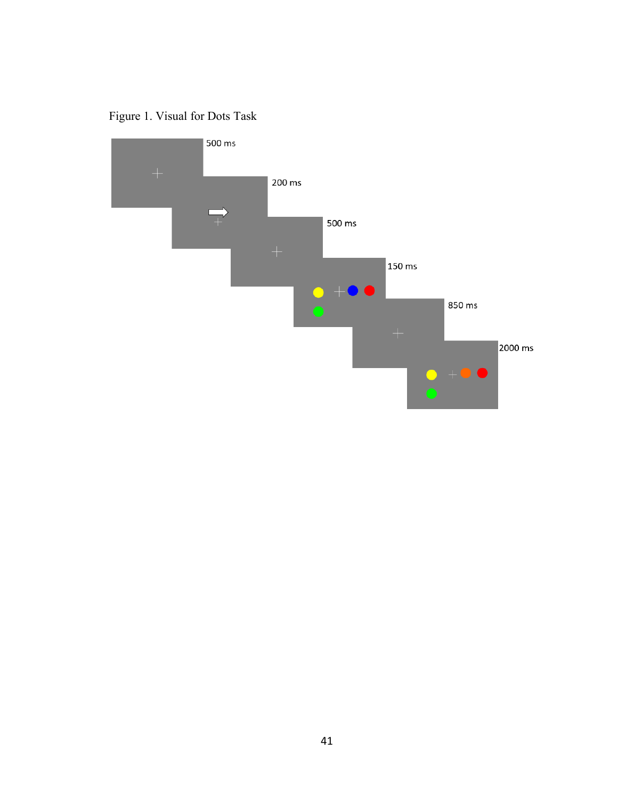Figure 1. Visual for Dots Task

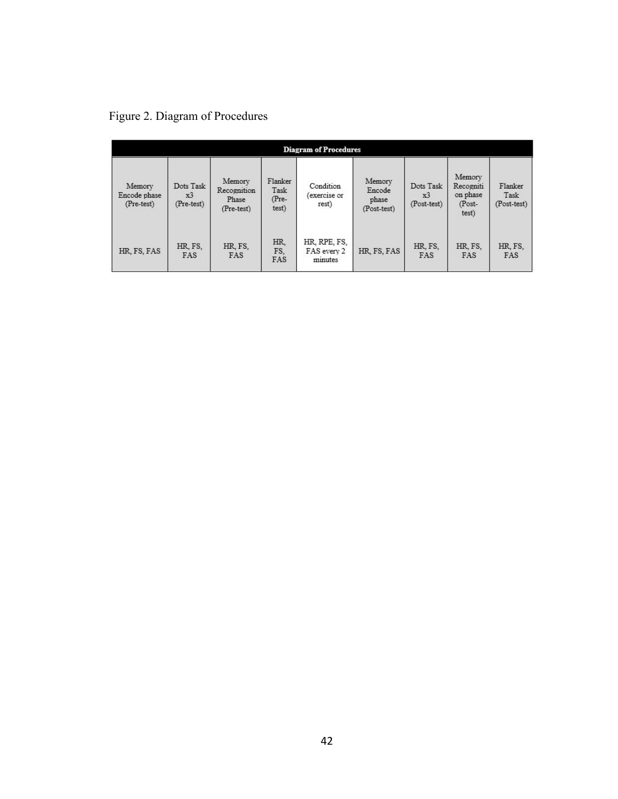|  |  | Figure 2. Diagram of Procedures |
|--|--|---------------------------------|
|--|--|---------------------------------|

| <b>Diagram of Procedures</b>         |                               |                                              |                                   |                                        |                                          |                                            |                                                    |                                |  |
|--------------------------------------|-------------------------------|----------------------------------------------|-----------------------------------|----------------------------------------|------------------------------------------|--------------------------------------------|----------------------------------------------------|--------------------------------|--|
| Memory<br>Encode phase<br>(Pre-test) | Dots Task<br>x3<br>(Pre-test) | Memory<br>Recognition<br>Phase<br>(Pre-test) | Flanker<br>Task<br>(Pre-<br>test) | Condition<br>(exercise or<br>rest)     | Memory<br>Encode<br>phase<br>(Post-test) | Dots Task<br>x <sup>3</sup><br>(Post-test) | Memory<br>Recogniti<br>on phase<br>(Post-<br>test) | Flanker<br>Task<br>(Post-test) |  |
| HR, FS, FAS                          | HR, FS,<br><b>FAS</b>         | HR, FS,<br>FAS                               | HR.<br>FS.<br>FAS                 | HR, RPE, FS,<br>FAS every 2<br>minutes | HR, FS, FAS                              | HR. FS.<br>FAS                             | HR, FS,<br>FAS                                     | HR, FS,<br><b>FAS</b>          |  |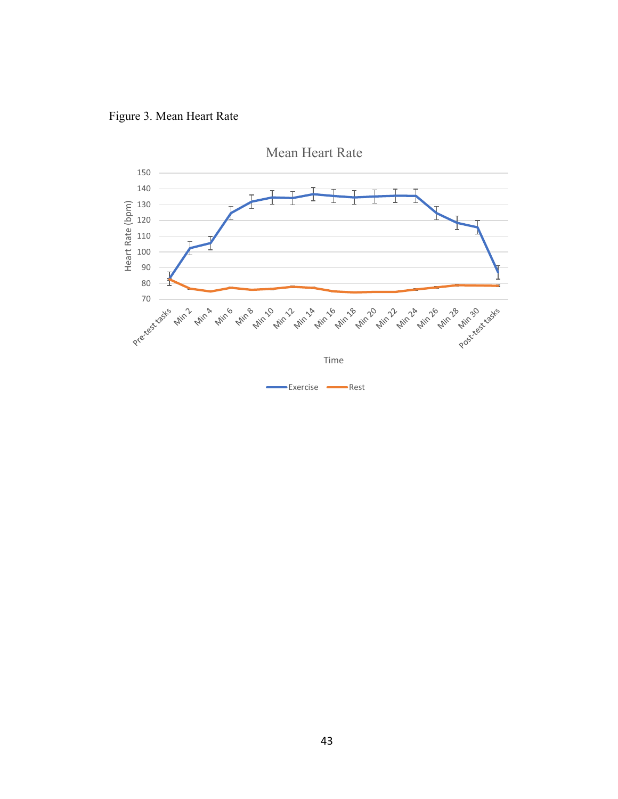

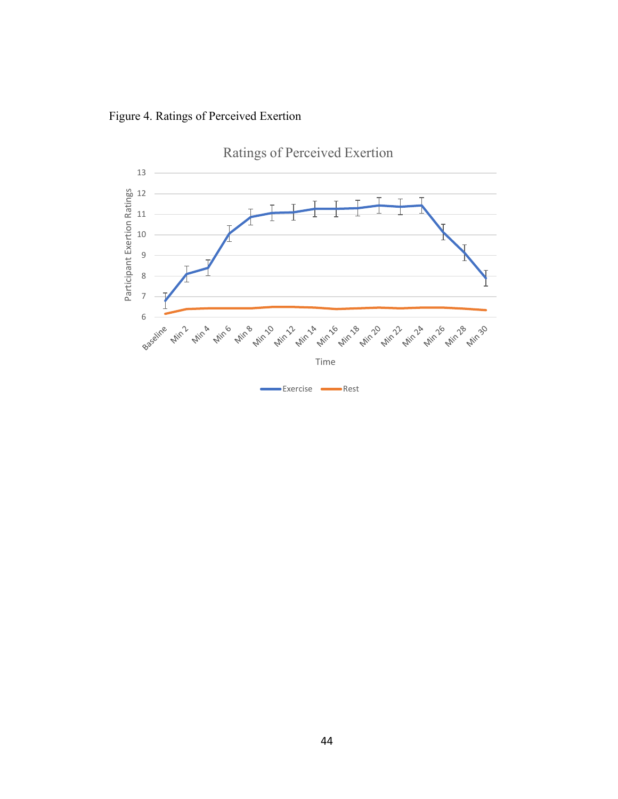Figure 4. Ratings of Perceived Exertion

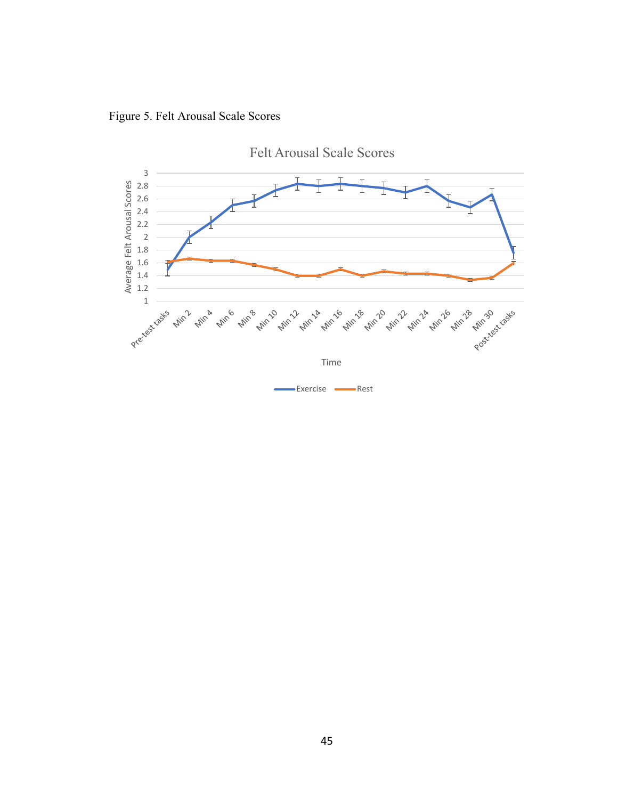Figure 5. Felt Arousal Scale Scores

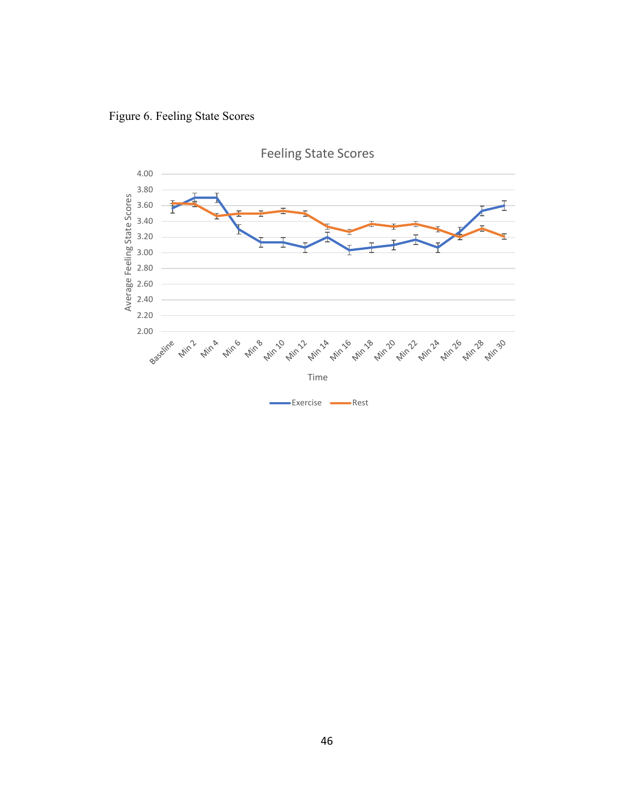Figure 6. Feeling State Scores

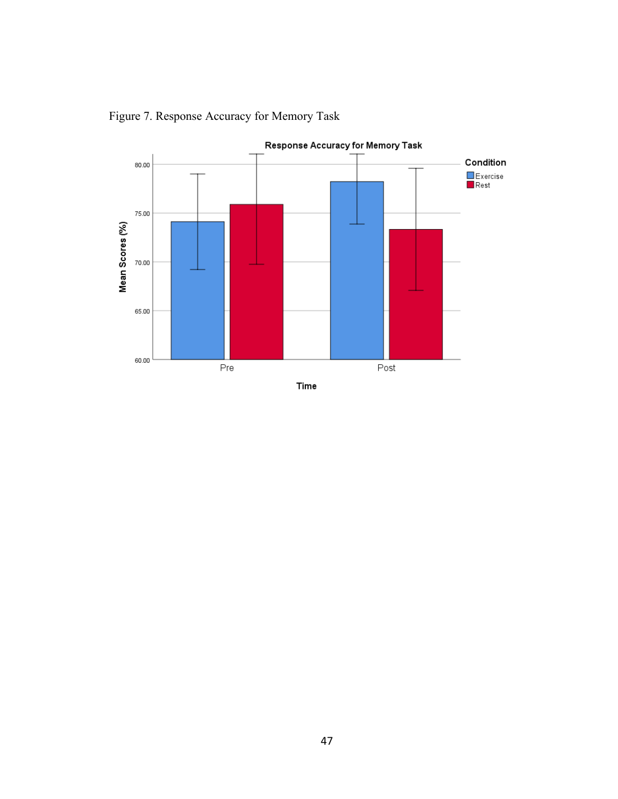

Figure 7. Response Accuracy for Memory Task

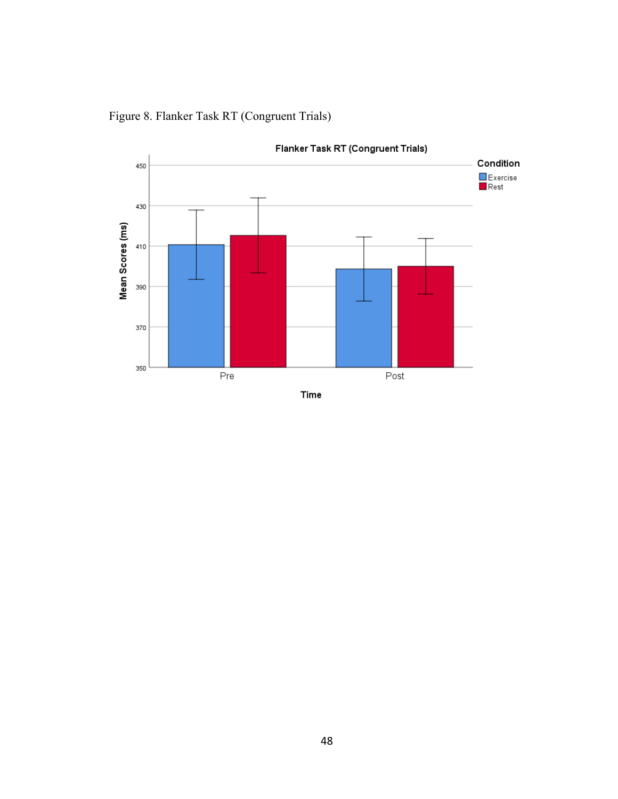

Figure 8. Flanker Task RT (Congruent Trials)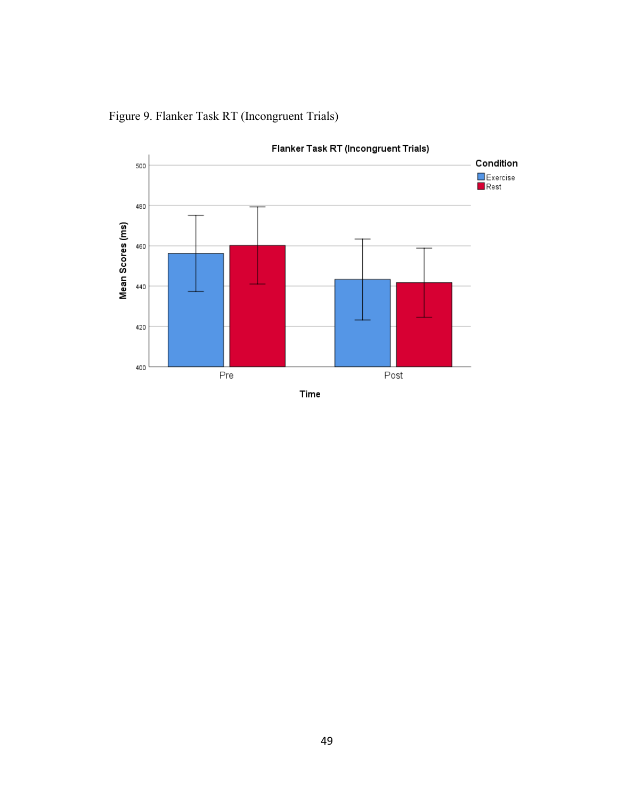

Figure 9. Flanker Task RT (Incongruent Trials)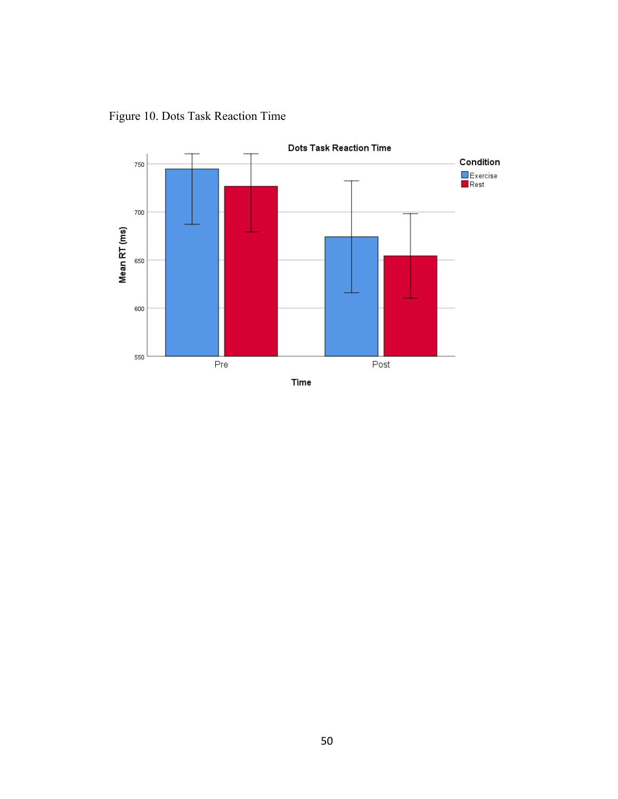



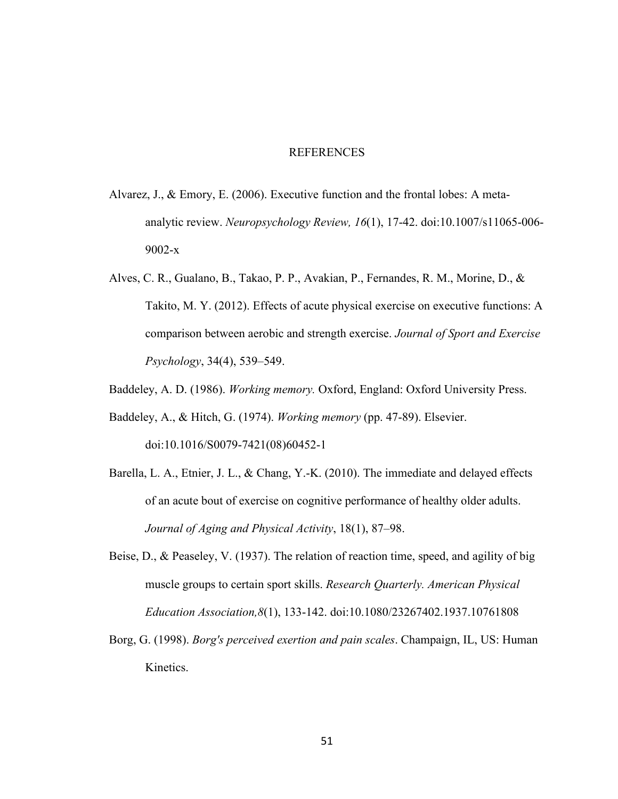### REFERENCES

- Alvarez, J., & Emory, E. (2006). Executive function and the frontal lobes: A metaanalytic review. *Neuropsychology Review, 16*(1), 17-42. doi:10.1007/s11065-006- 9002-x
- Alves, C. R., Gualano, B., Takao, P. P., Avakian, P., Fernandes, R. M., Morine, D., & Takito, M. Y. (2012). Effects of acute physical exercise on executive functions: A comparison between aerobic and strength exercise. *Journal of Sport and Exercise Psychology*, 34(4), 539–549.
- Baddeley, A. D. (1986). *Working memory.* Oxford, England: Oxford University Press.
- Baddeley, A., & Hitch, G. (1974). *Working memory* (pp. 47-89). Elsevier. doi:10.1016/S0079-7421(08)60452-1
- Barella, L. A., Etnier, J. L., & Chang, Y.-K. (2010). The immediate and delayed effects of an acute bout of exercise on cognitive performance of healthy older adults. *Journal of Aging and Physical Activity*, 18(1), 87–98.
- Beise, D., & Peaseley, V. (1937). The relation of reaction time, speed, and agility of big muscle groups to certain sport skills. *Research Quarterly. American Physical Education Association,8*(1), 133-142. doi:10.1080/23267402.1937.10761808
- Borg, G. (1998). *Borg's perceived exertion and pain scales*. Champaign, IL, US: Human Kinetics.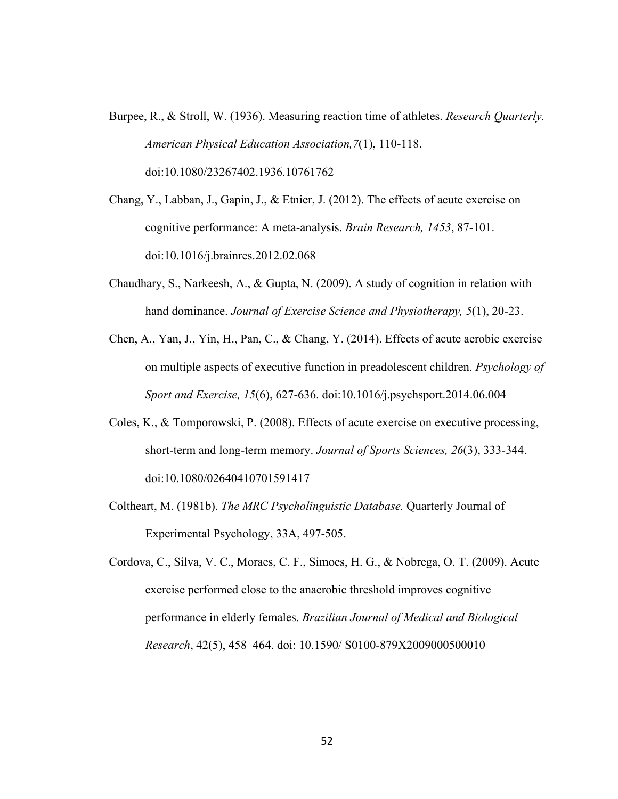- Burpee, R., & Stroll, W. (1936). Measuring reaction time of athletes. *Research Quarterly. American Physical Education Association,7*(1), 110-118. doi:10.1080/23267402.1936.10761762
- Chang, Y., Labban, J., Gapin, J., & Etnier, J. (2012). The effects of acute exercise on cognitive performance: A meta-analysis. *Brain Research, 1453*, 87-101. doi:10.1016/j.brainres.2012.02.068
- Chaudhary, S., Narkeesh, A., & Gupta, N. (2009). A study of cognition in relation with hand dominance. *Journal of Exercise Science and Physiotherapy, 5*(1), 20-23.
- Chen, A., Yan, J., Yin, H., Pan, C., & Chang, Y. (2014). Effects of acute aerobic exercise on multiple aspects of executive function in preadolescent children. *Psychology of Sport and Exercise, 15*(6), 627-636. doi:10.1016/j.psychsport.2014.06.004
- Coles, K., & Tomporowski, P. (2008). Effects of acute exercise on executive processing, short-term and long-term memory. *Journal of Sports Sciences, 26*(3), 333-344. doi:10.1080/02640410701591417
- Coltheart, M. (1981b). *The MRC Psycholinguistic Database.* Quarterly Journal of Experimental Psychology, 33A, 497-505.
- Cordova, C., Silva, V. C., Moraes, C. F., Simoes, H. G., & Nobrega, O. T. (2009). Acute exercise performed close to the anaerobic threshold improves cognitive performance in elderly females. *Brazilian Journal of Medical and Biological Research*, 42(5), 458–464. doi: 10.1590/ S0100-879X2009000500010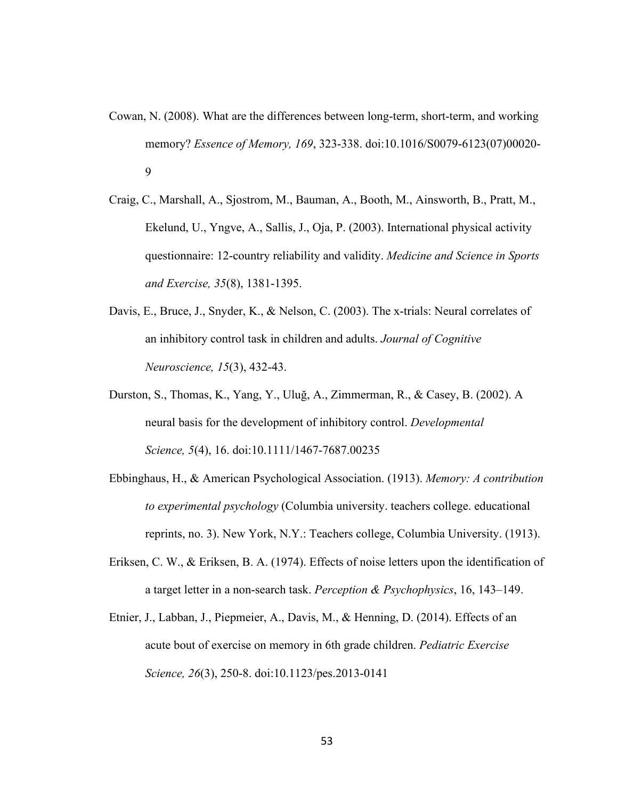- Cowan, N. (2008). What are the differences between long-term, short-term, and working memory? *Essence of Memory, 169*, 323-338. doi:10.1016/S0079-6123(07)00020- 9
- Craig, C., Marshall, A., Sjostrom, M., Bauman, A., Booth, M., Ainsworth, B., Pratt, M., Ekelund, U., Yngve, A., Sallis, J., Oja, P. (2003). International physical activity questionnaire: 12-country reliability and validity. *Medicine and Science in Sports and Exercise, 35*(8), 1381-1395.
- Davis, E., Bruce, J., Snyder, K., & Nelson, C. (2003). The x-trials: Neural correlates of an inhibitory control task in children and adults. *Journal of Cognitive Neuroscience, 15*(3), 432-43.
- Durston, S., Thomas, K., Yang, Y., Uluğ, A., Zimmerman, R., & Casey, B. (2002). A neural basis for the development of inhibitory control. *Developmental Science, 5*(4), 16. doi:10.1111/1467-7687.00235
- Ebbinghaus, H., & American Psychological Association. (1913). *Memory: A contribution to experimental psychology* (Columbia university. teachers college. educational reprints, no. 3). New York, N.Y.: Teachers college, Columbia University. (1913).
- Eriksen, C. W., & Eriksen, B. A. (1974). Effects of noise letters upon the identification of a target letter in a non-search task. *Perception & Psychophysics*, 16, 143–149.
- Etnier, J., Labban, J., Piepmeier, A., Davis, M., & Henning, D. (2014). Effects of an acute bout of exercise on memory in 6th grade children. *Pediatric Exercise Science, 26*(3), 250-8. doi:10.1123/pes.2013-0141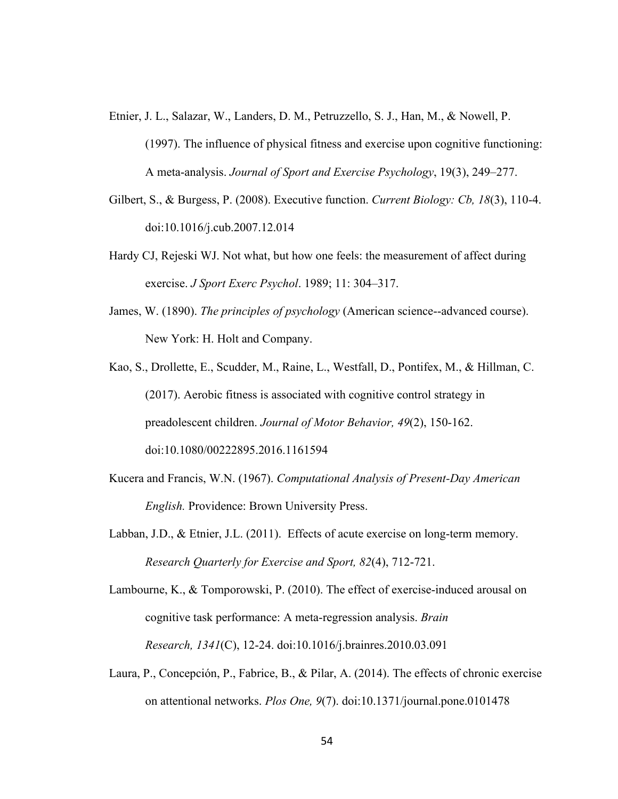Etnier, J. L., Salazar, W., Landers, D. M., Petruzzello, S. J., Han, M., & Nowell, P.

- Gilbert, S., & Burgess, P. (2008). Executive function. *Current Biology: Cb, 18*(3), 110-4. doi:10.1016/j.cub.2007.12.014
- Hardy CJ, Rejeski WJ. Not what, but how one feels: the measurement of affect during exercise. *J Sport Exerc Psychol*. 1989; 11: 304–317.
- James, W. (1890). *The principles of psychology* (American science--advanced course). New York: H. Holt and Company.
- Kao, S., Drollette, E., Scudder, M., Raine, L., Westfall, D., Pontifex, M., & Hillman, C. (2017). Aerobic fitness is associated with cognitive control strategy in preadolescent children. *Journal of Motor Behavior, 49*(2), 150-162. doi:10.1080/00222895.2016.1161594
- Kucera and Francis, W.N. (1967). *Computational Analysis of Present-Day American English.* Providence: Brown University Press.
- Labban, J.D., & Etnier, J.L. (2011). Effects of acute exercise on long-term memory. *Research Quarterly for Exercise and Sport, 82*(4), 712-721.

Lambourne, K., & Tomporowski, P. (2010). The effect of exercise-induced arousal on cognitive task performance: A meta-regression analysis. *Brain Research, 1341*(C), 12-24. doi:10.1016/j.brainres.2010.03.091

Laura, P., Concepción, P., Fabrice, B., & Pilar, A. (2014). The effects of chronic exercise on attentional networks. *Plos One, 9*(7). doi:10.1371/journal.pone.0101478

<sup>(1997).</sup> The influence of physical fitness and exercise upon cognitive functioning: A meta-analysis. *Journal of Sport and Exercise Psychology*, 19(3), 249–277.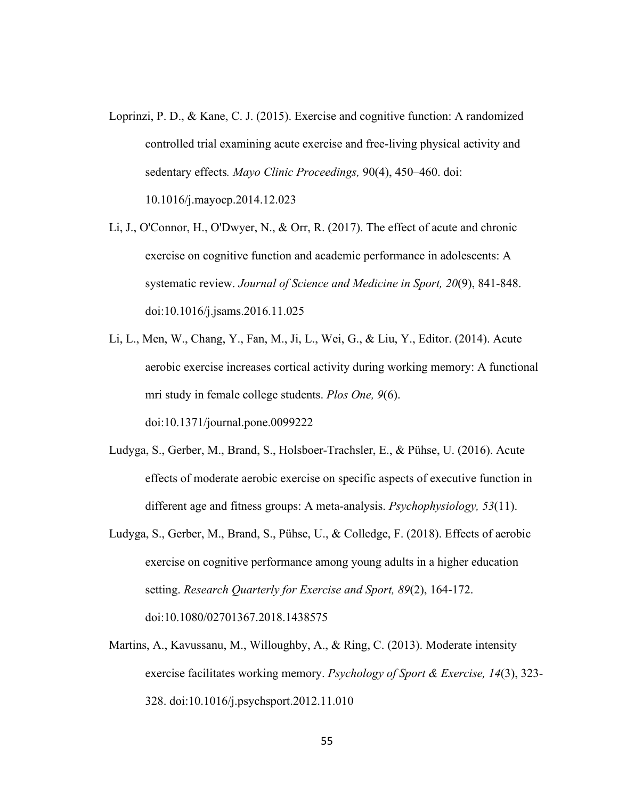- Loprinzi, P. D., & Kane, C. J. (2015). Exercise and cognitive function: A randomized controlled trial examining acute exercise and free-living physical activity and sedentary effects*. Mayo Clinic Proceedings,* 90(4), 450–460. doi: 10.1016/j.mayocp.2014.12.023
- Li, J., O'Connor, H., O'Dwyer, N., & Orr, R. (2017). The effect of acute and chronic exercise on cognitive function and academic performance in adolescents: A systematic review. *Journal of Science and Medicine in Sport, 20*(9), 841-848. doi:10.1016/j.jsams.2016.11.025
- Li, L., Men, W., Chang, Y., Fan, M., Ji, L., Wei, G., & Liu, Y., Editor. (2014). Acute aerobic exercise increases cortical activity during working memory: A functional mri study in female college students. *Plos One, 9*(6). doi:10.1371/journal.pone.0099222
- Ludyga, S., Gerber, M., Brand, S., Holsboer‐Trachsler, E., & Pühse, U. (2016). Acute effects of moderate aerobic exercise on specific aspects of executive function in different age and fitness groups: A meta-analysis. *Psychophysiology, 53*(11).
- Ludyga, S., Gerber, M., Brand, S., Pühse, U., & Colledge, F. (2018). Effects of aerobic exercise on cognitive performance among young adults in a higher education setting. *Research Quarterly for Exercise and Sport, 89*(2), 164-172. doi:10.1080/02701367.2018.1438575
- Martins, A., Kavussanu, M., Willoughby, A., & Ring, C. (2013). Moderate intensity exercise facilitates working memory. *Psychology of Sport & Exercise, 14*(3), 323- 328. doi:10.1016/j.psychsport.2012.11.010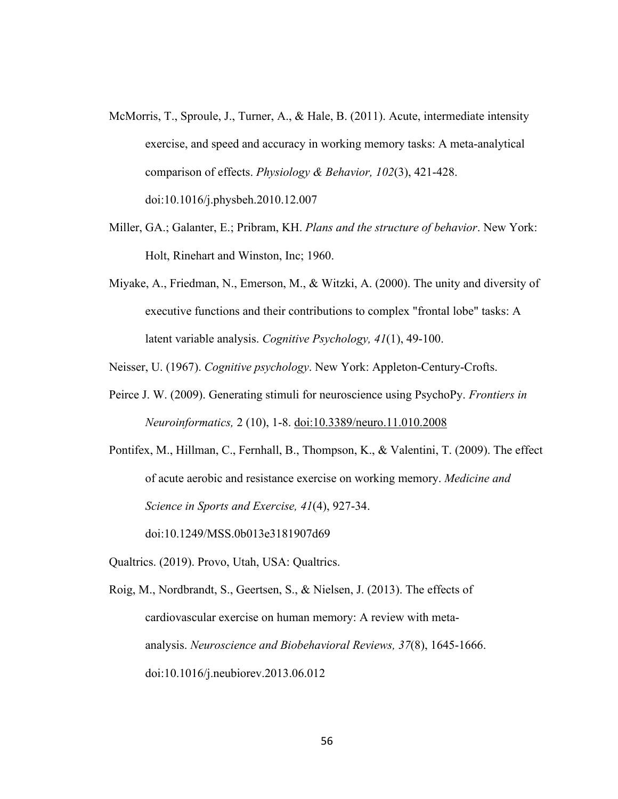- McMorris, T., Sproule, J., Turner, A., & Hale, B. (2011). Acute, intermediate intensity exercise, and speed and accuracy in working memory tasks: A meta-analytical comparison of effects. *Physiology & Behavior, 102*(3), 421-428. doi:10.1016/j.physbeh.2010.12.007
- Miller, GA.; Galanter, E.; Pribram, KH. *Plans and the structure of behavior*. New York: Holt, Rinehart and Winston, Inc; 1960.
- Miyake, A., Friedman, N., Emerson, M., & Witzki, A. (2000). The unity and diversity of executive functions and their contributions to complex "frontal lobe" tasks: A latent variable analysis. *Cognitive Psychology, 41*(1), 49-100.

Neisser, U. (1967). *Cognitive psychology*. New York: Appleton-Century-Crofts.

Peirce J. W. (2009). Generating stimuli for neuroscience using PsychoPy. *Frontiers in Neuroinformatics,* 2 (10), 1-8. doi:10.3389/neuro.11.010.2008

Pontifex, M., Hillman, C., Fernhall, B., Thompson, K., & Valentini, T. (2009). The effect of acute aerobic and resistance exercise on working memory. *Medicine and Science in Sports and Exercise, 41*(4), 927-34.

doi:10.1249/MSS.0b013e3181907d69

Qualtrics. (2019). Provo, Utah, USA: Qualtrics.

Roig, M., Nordbrandt, S., Geertsen, S., & Nielsen, J. (2013). The effects of cardiovascular exercise on human memory: A review with metaanalysis. *Neuroscience and Biobehavioral Reviews, 37*(8), 1645-1666. doi:10.1016/j.neubiorev.2013.06.012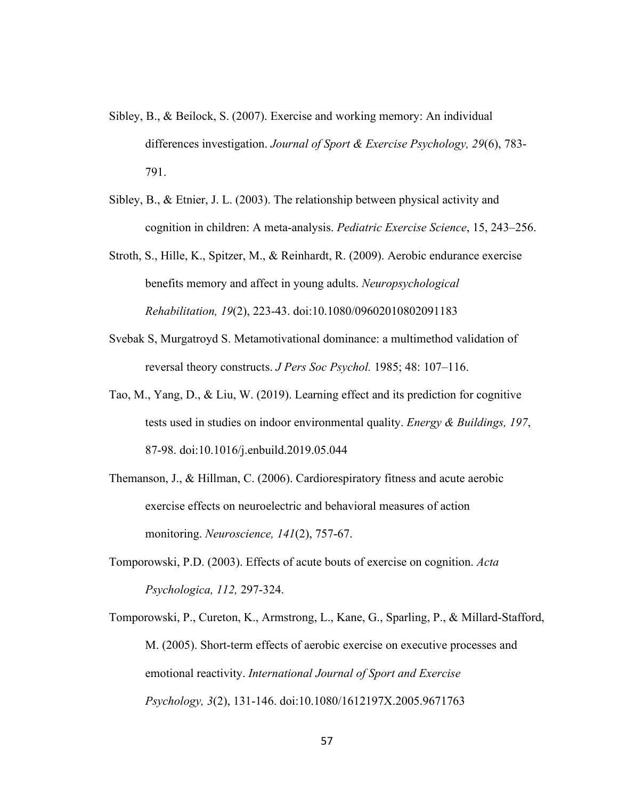- Sibley, B., & Beilock, S. (2007). Exercise and working memory: An individual differences investigation. *Journal of Sport & Exercise Psychology, 29*(6), 783- 791.
- Sibley, B., & Etnier, J. L. (2003). The relationship between physical activity and cognition in children: A meta-analysis. *Pediatric Exercise Science*, 15, 243–256.
- Stroth, S., Hille, K., Spitzer, M., & Reinhardt, R. (2009). Aerobic endurance exercise benefits memory and affect in young adults. *Neuropsychological Rehabilitation, 19*(2), 223-43. doi:10.1080/09602010802091183
- Svebak S, Murgatroyd S. Metamotivational dominance: a multimethod validation of reversal theory constructs. *J Pers Soc Psychol.* 1985; 48: 107–116.
- Tao, M., Yang, D., & Liu, W. (2019). Learning effect and its prediction for cognitive tests used in studies on indoor environmental quality. *Energy & Buildings, 197*, 87-98. doi:10.1016/j.enbuild.2019.05.044
- Themanson, J., & Hillman, C. (2006). Cardiorespiratory fitness and acute aerobic exercise effects on neuroelectric and behavioral measures of action monitoring. *Neuroscience, 141*(2), 757-67.
- Tomporowski, P.D. (2003). Effects of acute bouts of exercise on cognition. *Acta Psychologica, 112,* 297-324.
- Tomporowski, P., Cureton, K., Armstrong, L., Kane, G., Sparling, P., & Millard‐Stafford, M. (2005). Short‐term effects of aerobic exercise on executive processes and emotional reactivity. *International Journal of Sport and Exercise Psychology, 3*(2), 131-146. doi:10.1080/1612197X.2005.9671763